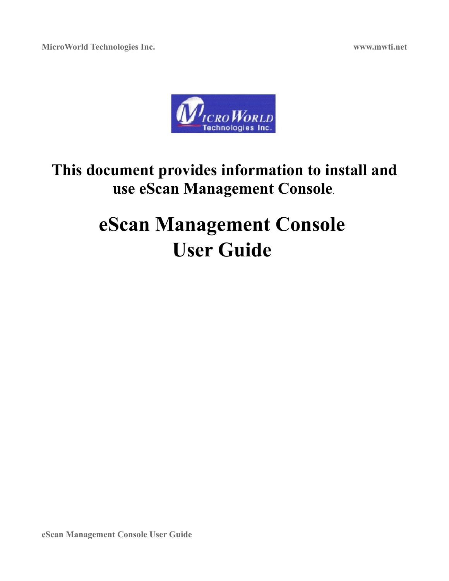

# **This document provides information to install and use eScan Management Console**.

# **eScan Management Console User Guide**

**eScan Management Console User Guide**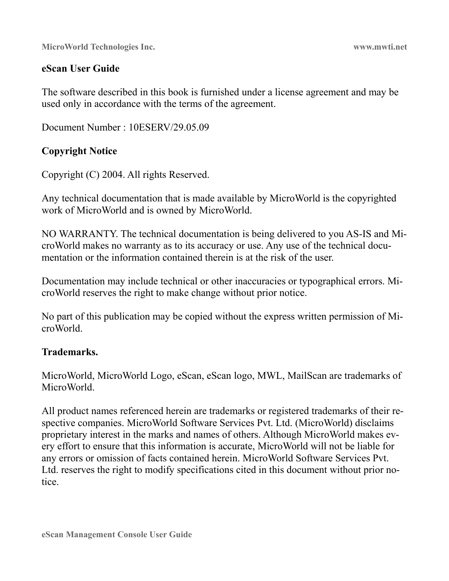### **eScan User Guide**

The software described in this book is furnished under a license agreement and may be used only in accordance with the terms of the agreement.

Document Number : 10ESERV/29.05.09

### **Copyright Notice**

Copyright (C) 2004. All rights Reserved.

Any technical documentation that is made available by MicroWorld is the copyrighted work of MicroWorld and is owned by MicroWorld.

NO WARRANTY. The technical documentation is being delivered to you AS-IS and MicroWorld makes no warranty as to its accuracy or use. Any use of the technical documentation or the information contained therein is at the risk of the user.

Documentation may include technical or other inaccuracies or typographical errors. MicroWorld reserves the right to make change without prior notice.

No part of this publication may be copied without the express written permission of MicroWorld.

### **Trademarks.**

MicroWorld, MicroWorld Logo, eScan, eScan logo, MWL, MailScan are trademarks of MicroWorld.

All product names referenced herein are trademarks or registered trademarks of their respective companies. MicroWorld Software Services Pvt. Ltd. (MicroWorld) disclaims proprietary interest in the marks and names of others. Although MicroWorld makes every effort to ensure that this information is accurate, MicroWorld will not be liable for any errors or omission of facts contained herein. MicroWorld Software Services Pvt. Ltd. reserves the right to modify specifications cited in this document without prior notice.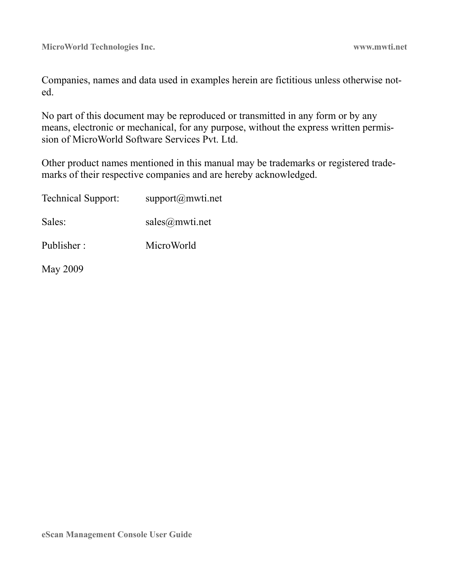Companies, names and data used in examples herein are fictitious unless otherwise noted.

No part of this document may be reproduced or transmitted in any form or by any means, electronic or mechanical, for any purpose, without the express written permission of MicroWorld Software Services Pvt. Ltd.

Other product names mentioned in this manual may be trademarks or registered trademarks of their respective companies and are hereby acknowledged.

| <b>Technical Support:</b> | support@mwti.net |
|---------------------------|------------------|
| Sales:                    | sales@mwti.net   |
| Publisher:                | MicroWorld       |
| May 2009                  |                  |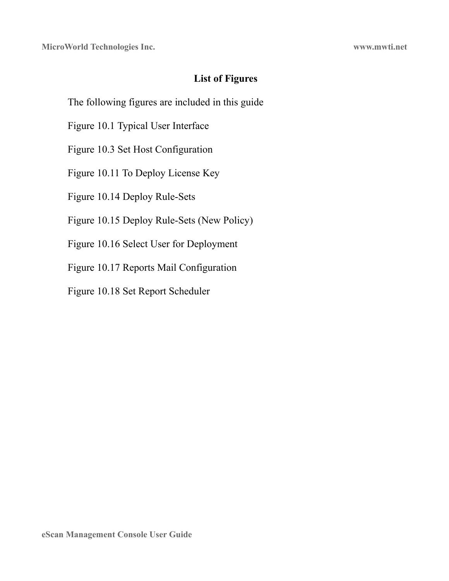### **List of Figures**

The following figures are included in this guide

Figure 10.1 Typical User Interface

Figure 10.3 Set Host Configuration

Figure 10.11 To Deploy License Key

Figure 10.14 Deploy Rule-Sets

Figure 10.15 Deploy Rule-Sets (New Policy)

Figure 10.16 Select User for Deployment

Figure 10.17 Reports Mail Configuration

Figure 10.18 Set Report Scheduler

**eScan Management Console User Guide**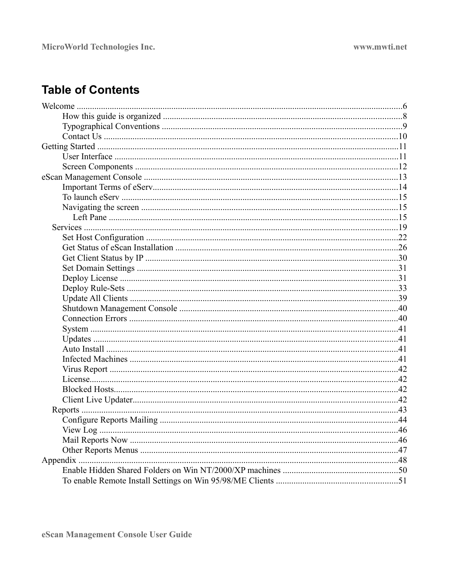# **Table of Contents**

| 46 |
|----|
|    |
|    |
|    |
|    |
|    |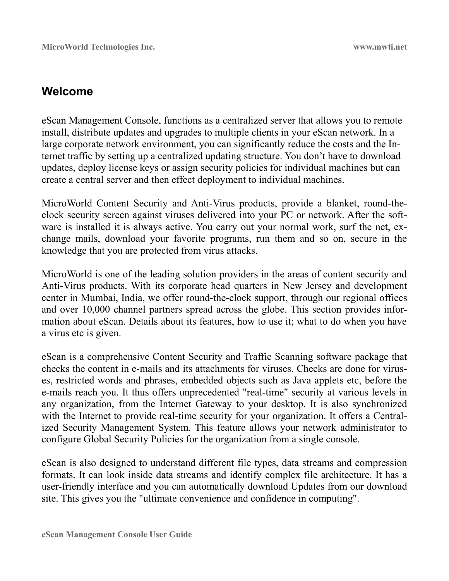# **Welcome**

eScan Management Console, functions as a centralized server that allows you to remote install, distribute updates and upgrades to multiple clients in your eScan network. In a large corporate network environment, you can significantly reduce the costs and the Internet traffic by setting up a centralized updating structure. You don't have to download updates, deploy license keys or assign security policies for individual machines but can create a central server and then effect deployment to individual machines.

MicroWorld Content Security and Anti-Virus products, provide a blanket, round-theclock security screen against viruses delivered into your PC or network. After the software is installed it is always active. You carry out your normal work, surf the net, exchange mails, download your favorite programs, run them and so on, secure in the knowledge that you are protected from virus attacks.

MicroWorld is one of the leading solution providers in the areas of content security and Anti-Virus products. With its corporate head quarters in New Jersey and development center in Mumbai, India, we offer round-the-clock support, through our regional offices and over 10,000 channel partners spread across the globe. This section provides information about eScan. Details about its features, how to use it; what to do when you have a virus etc is given.

eScan is a comprehensive Content Security and Traffic Scanning software package that checks the content in e-mails and its attachments for viruses. Checks are done for viruses, restricted words and phrases, embedded objects such as Java applets etc, before the e-mails reach you. It thus offers unprecedented "real-time" security at various levels in any organization, from the Internet Gateway to your desktop. It is also synchronized with the Internet to provide real-time security for your organization. It offers a Centralized Security Management System. This feature allows your network administrator to configure Global Security Policies for the organization from a single console.

eScan is also designed to understand different file types, data streams and compression formats. It can look inside data streams and identify complex file architecture. It has a user-friendly interface and you can automatically download Updates from our download site. This gives you the "ultimate convenience and confidence in computing".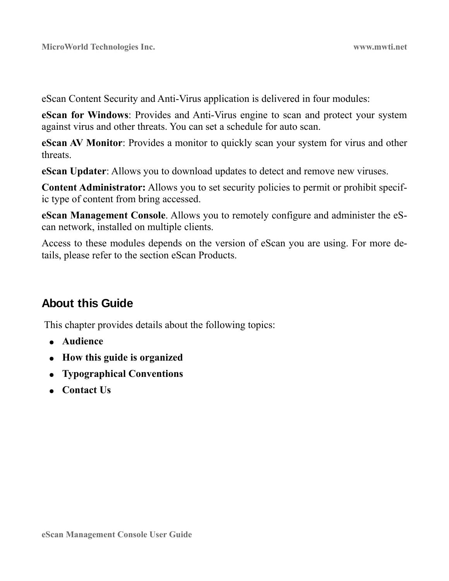eScan Content Security and Anti-Virus application is delivered in four modules:

**eScan for Windows**: Provides and Anti-Virus engine to scan and protect your system against virus and other threats. You can set a schedule for auto scan.

**eScan AV Monitor**: Provides a monitor to quickly scan your system for virus and other threats.

**eScan Updater**: Allows you to download updates to detect and remove new viruses.

**Content Administrator:** Allows you to set security policies to permit or prohibit specific type of content from bring accessed.

**eScan Management Console**. Allows you to remotely configure and administer the eScan network, installed on multiple clients.

Access to these modules depends on the version of eScan you are using. For more details, please refer to the section eScan Products.

# **About this Guide**

This chapter provides details about the following topics:

- **Audience**
- **How this guide is organized**
- **Typographical Conventions**
- **Contact Us**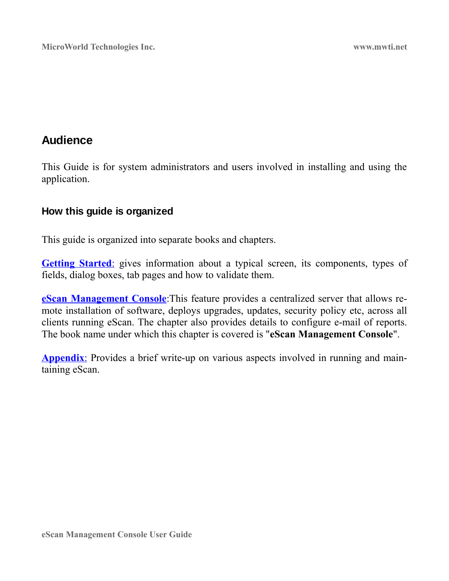# **Audience**

This Guide is for system administrators and users involved in installing and using the application.

### **How this guide is organized**

This guide is organized into separate books and chapters.

**Getting Started:** gives information about a typical screen, its components, types of fields, dialog boxes, tab pages and how to validate them.

**[eScan Management Console](#page-12-0)**:This feature provides a centralized server that allows remote installation of software, deploys upgrades, updates, security policy etc, across all clients running eScan. The chapter also provides details to configure e-mail of reports. The book name under which this chapter is covered is "**eScan Management Console**".

**Appendix:** Provides a brief write-up on various aspects involved in running and maintaining eScan.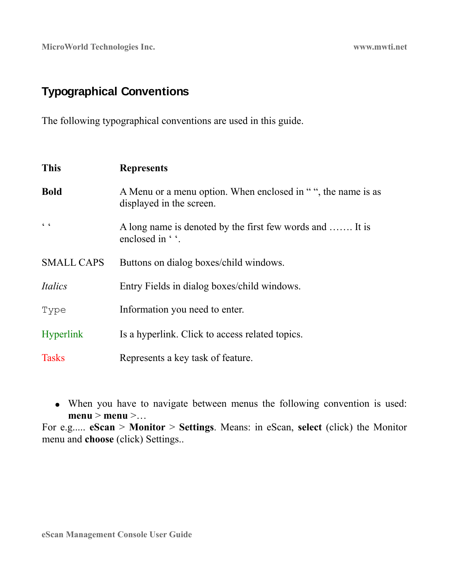# **Typographical Conventions**

The following typographical conventions are used in this guide.

| <b>This</b>       | <b>Represents</b>                                                                        |
|-------------------|------------------------------------------------------------------------------------------|
| <b>Bold</b>       | A Menu or a menu option. When enclosed in "", the name is as<br>displayed in the screen. |
| C                 | A long name is denoted by the first few words and  It is<br>enclosed in ''.              |
| <b>SMALL CAPS</b> | Buttons on dialog boxes/child windows.                                                   |
| Italics           | Entry Fields in dialog boxes/child windows.                                              |
| Type              | Information you need to enter.                                                           |
| <b>Hyperlink</b>  | Is a hyperlink. Click to access related topics.                                          |
| <b>Tasks</b>      | Represents a key task of feature.                                                        |

● When you have to navigate between menus the following convention is used: **menu** > **menu** >…

For e.g..... **eScan** > **Monitor** > **Settings**. Means: in eScan, **select** (click) the Monitor menu and **choose** (click) Settings..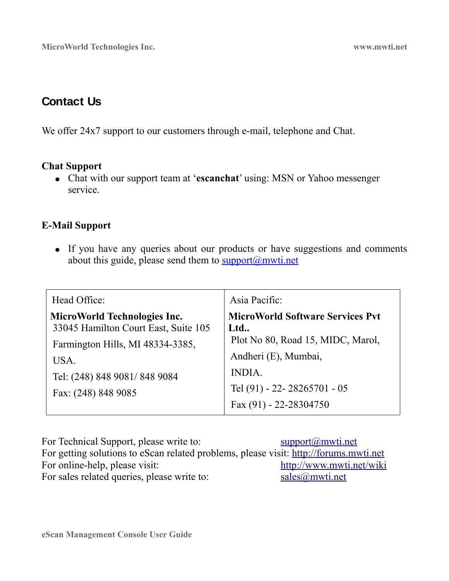# **Contact Us**

We offer 24x7 support to our customers through e-mail, telephone and Chat.

### **Chat Support**

● Chat with our support team at '**escanchat**' using: MSN or Yahoo messenger service.

### **E-Mail Support**

• If you have any queries about our products or have suggestions and comments about this guide, please send them to  $\frac{\text{support}(a) \text{multi.net}}{\text{output}(a)}$ 

| Head Office:                                                                                             | Asia Pacific:                                                                       |
|----------------------------------------------------------------------------------------------------------|-------------------------------------------------------------------------------------|
| MicroWorld Technologies Inc.<br>33045 Hamilton Court East, Suite 105<br>Farmington Hills, MI 48334-3385, | <b>MicroWorld Software Services Pvt</b><br>Ltd<br>Plot No 80, Road 15, MIDC, Marol, |
| USA.<br>Tel: (248) 848 9081/848 9084                                                                     | Andheri (E), Mumbai,<br><b>INDIA.</b><br>Tel (91) - 22 - 28265701 - 05              |
| Fax: (248) 848 9085                                                                                      | Fax (91) - 22-28304750                                                              |

For Technical Support, please write to: support  $\frac{\text{support}(a)}{\text{mwti.net}}$ For getting solutions to eScan related problems, please visit: [http://forums.mwti.net](http://forums.mwti.net/) For online-help, please visit: <http://www.mwti.net/wiki> For sales related queries, please write to: [sales@mwti.net](mailto:sales@mwti.net)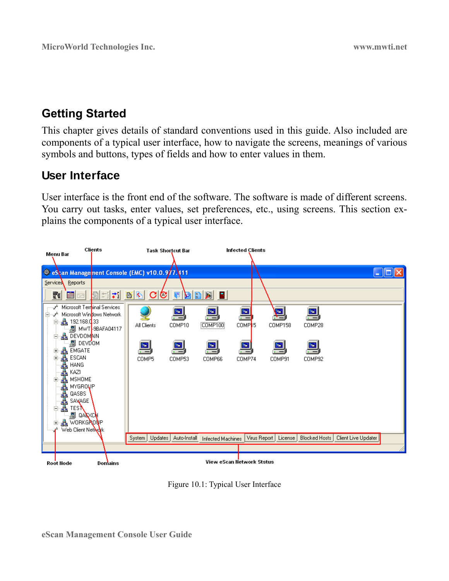# <span id="page-10-0"></span>**Getting Started**

This chapter gives details of standard conventions used in this guide. Also included are components of a typical user interface, how to navigate the screens, meanings of various symbols and buttons, types of fields and how to enter values in them.

# <span id="page-10-1"></span>**User Interface**

User interface is the front end of the software. The software is made of different screens. You carry out tasks, enter values, set preferences, etc., using screens. This section explains the components of a typical user interface.



Figure 10.1: Typical User Interface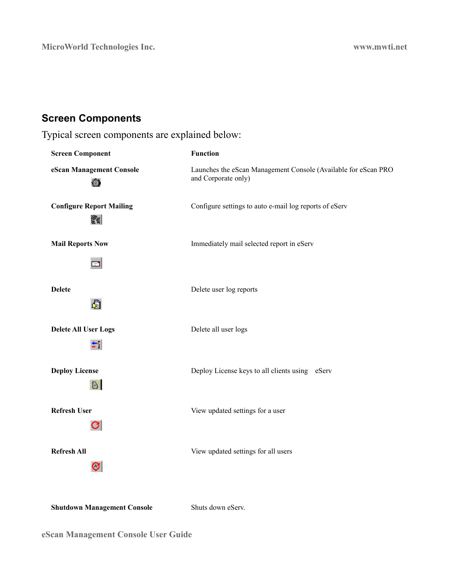# **Screen Components**

Typical screen components are explained below:

| <b>Screen Component</b>              | <b>Function</b>                                                                       |
|--------------------------------------|---------------------------------------------------------------------------------------|
| eScan Management Console<br>雍        | Launches the eScan Management Console (Available for eScan PRO<br>and Corporate only) |
| <b>Configure Report Mailing</b><br>뙗 | Configure settings to auto e-mail log reports of eServ                                |
| <b>Mail Reports Now</b>              | Immediately mail selected report in eServ                                             |
| <b>Delete</b><br>国                   | Delete user log reports                                                               |
| <b>Delete All User Logs</b>          | Delete all user logs                                                                  |
| <b>Deploy License</b><br>B.          | Deploy License keys to all clients using eServ                                        |
| <b>Refresh User</b><br>U             | View updated settings for a user                                                      |
| <b>Refresh All</b><br>CI             | View updated settings for all users                                                   |

**Shutdown Management Console** Shuts down eServ.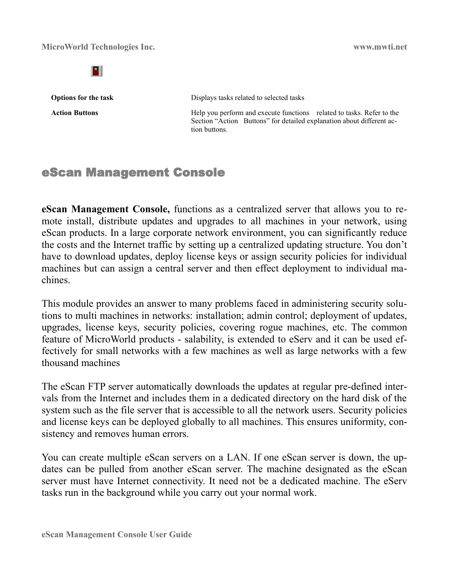в

**Options for the task** Displays tasks related to selected tasks

Action Buttons **Help** you perform and execute functions related to tasks. Refer to the Section "Action Buttons" for detailed explanation about different action buttons.

# <span id="page-12-0"></span>eScan Management Console

**eScan Management Console,** functions as a centralized server that allows you to remote install, distribute updates and upgrades to all machines in your network, using eScan products. In a large corporate network environment, you can significantly reduce the costs and the Internet traffic by setting up a centralized updating structure. You don't have to download updates, deploy license keys or assign security policies for individual machines but can assign a central server and then effect deployment to individual machines.

This module provides an answer to many problems faced in administering security solutions to multi machines in networks: installation; admin control; deployment of updates, upgrades, license keys, security policies, covering rogue machines, etc. The common feature of MicroWorld products - salability, is extended to eServ and it can be used effectively for small networks with a few machines as well as large networks with a few thousand machines

The eScan FTP server automatically downloads the updates at regular pre-defined intervals from the Internet and includes them in a dedicated directory on the hard disk of the system such as the file server that is accessible to all the network users. Security policies and license keys can be deployed globally to all machines. This ensures uniformity, consistency and removes human errors.

You can create multiple eScan servers on a LAN. If one eScan server is down, the updates can be pulled from another eScan server. The machine designated as the eScan server must have Internet connectivity. It need not be a dedicated machine. The eServ tasks run in the background while you carry out your normal work.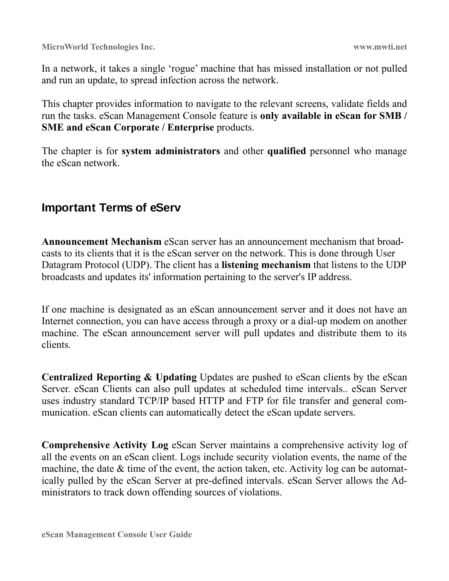In a network, it takes a single 'rogue' machine that has missed installation or not pulled and run an update, to spread infection across the network.

This chapter provides information to navigate to the relevant screens, validate fields and run the tasks. eScan Management Console feature is **only available in eScan for SMB / SME and eScan Corporate / Enterprise** products.

The chapter is for **system administrators** and other **qualified** personnel who manage the eScan network.

# **Important Terms of eServ**

**Announcement Mechanism** eScan server has an announcement mechanism that broadcasts to its clients that it is the eScan server on the network. This is done through User Datagram Protocol (UDP). The client has a **listening mechanism** that listens to the UDP broadcasts and updates its' information pertaining to the server's IP address.

If one machine is designated as an eScan announcement server and it does not have an Internet connection, you can have access through a proxy or a dial-up modem on another machine. The eScan announcement server will pull updates and distribute them to its clients.

**Centralized Reporting & Updating** Updates are pushed to eScan clients by the eScan Server. eScan Clients can also pull updates at scheduled time intervals.. eScan Server uses industry standard TCP/IP based HTTP and FTP for file transfer and general communication. eScan clients can automatically detect the eScan update servers.

**Comprehensive Activity Log** eScan Server maintains a comprehensive activity log of all the events on an eScan client. Logs include security violation events, the name of the machine, the date & time of the event, the action taken, etc. Activity log can be automatically pulled by the eScan Server at pre-defined intervals. eScan Server allows the Administrators to track down offending sources of violations.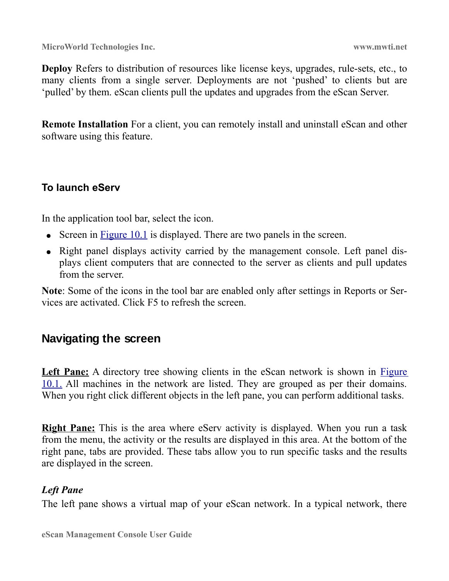**Deploy** Refers to distribution of resources like license keys, upgrades, rule-sets, etc., to many clients from a single server. Deployments are not 'pushed' to clients but are 'pulled' by them. eScan clients pull the updates and upgrades from the eScan Server.

**Remote Installation** For a client, you can remotely install and uninstall eScan and other software using this feature.

### **To launch eServ**

In the application tool bar, select the icon.

- Screen in [Figure 10.1](#page-10-1) is displayed. There are two panels in the screen.
- Right panel displays activity carried by the management console. Left panel displays client computers that are connected to the server as clients and pull updates from the server.

**Note**: Some of the icons in the tool bar are enabled only after settings in Reports or Services are activated. Click F5 to refresh the screen.

### **Navigating the screen**

Left Pane: A directory tree showing clients in the eScan network is shown in [Figure](#page-10-1) [10.1.](#page-10-1) All machines in the network are listed. They are grouped as per their domains. When you right click different objects in the left pane, you can perform additional tasks.

**Right Pane:** This is the area where eServ activity is displayed. When you run a task from the menu, the activity or the results are displayed in this area. At the bottom of the right pane, tabs are provided. These tabs allow you to run specific tasks and the results are displayed in the screen.

### *Left Pane*

The left pane shows a virtual map of your eScan network. In a typical network, there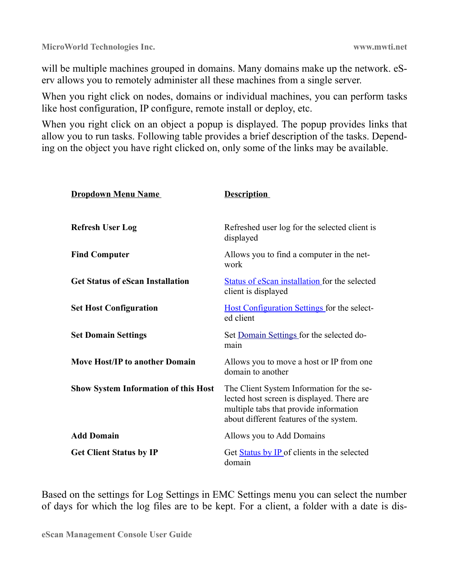will be multiple machines grouped in domains. Many domains make up the network. eServ allows you to remotely administer all these machines from a single server.

When you right click on nodes, domains or individual machines, you can perform tasks like host configuration, IP configure, remote install or deploy, etc.

When you right click on an object a popup is displayed. The popup provides links that allow you to run tasks. Following table provides a brief description of the tasks. Depending on the object you have right clicked on, only some of the links may be available.

| <b>Dropdown Menu Name</b>                   | <b>Description</b>                                                                                                                                                           |
|---------------------------------------------|------------------------------------------------------------------------------------------------------------------------------------------------------------------------------|
| <b>Refresh User Log</b>                     | Refreshed user log for the selected client is<br>displayed                                                                                                                   |
| <b>Find Computer</b>                        | Allows you to find a computer in the net-<br>work                                                                                                                            |
| <b>Get Status of eScan Installation</b>     | Status of eScan installation for the selected<br>client is displayed                                                                                                         |
| <b>Set Host Configuration</b>               | <b>Host Configuration Settings for the select-</b><br>ed client                                                                                                              |
| <b>Set Domain Settings</b>                  | Set Domain Settings for the selected do-<br>main                                                                                                                             |
| <b>Move Host/IP to another Domain</b>       | Allows you to move a host or IP from one<br>domain to another                                                                                                                |
| <b>Show System Information of this Host</b> | The Client System Information for the se-<br>lected host screen is displayed. There are<br>multiple tabs that provide information<br>about different features of the system. |
| <b>Add Domain</b>                           | Allows you to Add Domains                                                                                                                                                    |
| <b>Get Client Status by IP</b>              | Get Status by IP of clients in the selected<br>domain                                                                                                                        |

Based on the settings for Log Settings in EMC Settings menu you can select the number of days for which the log files are to be kept. For a client, a folder with a date is dis-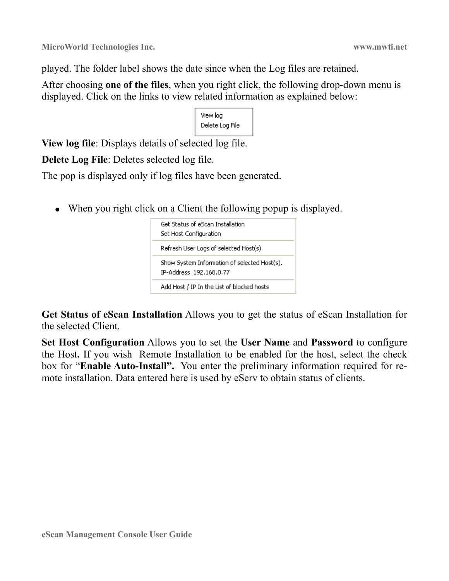played. The folder label shows the date since when the Log files are retained.

After choosing **one of the files**, when you right click, the following drop-down menu is displayed. Click on the links to view related information as explained below:

```
View log
Delete Log File
```
**View log file**: Displays details of selected log file.

**Delete Log File**: Deletes selected log file.

The pop is displayed only if log files have been generated.

• When you right click on a Client the following popup is displayed.

| Get Status of eScan Installation.<br>Set Host Configuration             |
|-------------------------------------------------------------------------|
| Refresh User Logs of selected Host(s)                                   |
| Show System Information of selected Host(s),<br>IP-Address 192.168.0.77 |
| Add Host / IP In the List of blocked hosts                              |

**Get Status of eScan Installation** Allows you to get the status of eScan Installation for the selected Client.

**Set Host Configuration** Allows you to set the **User Name** and **Password** to configure the Host**.** If you wish Remote Installation to be enabled for the host, select the check box for "**Enable Auto-Install".** You enter the preliminary information required for remote installation. Data entered here is used by eServ to obtain status of clients.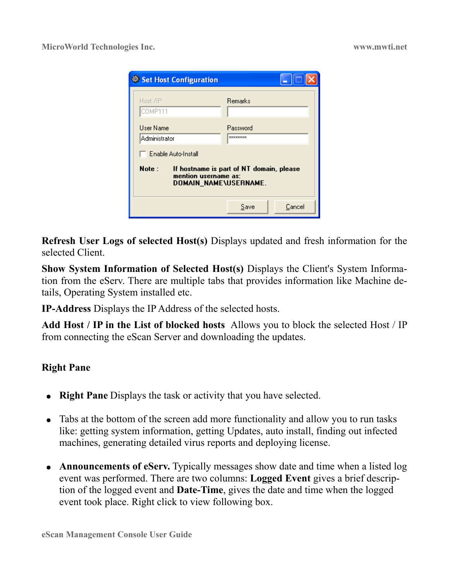| Set Host Configuration                                                                                                      |                      |  |  |  |
|-----------------------------------------------------------------------------------------------------------------------------|----------------------|--|--|--|
| Remarks<br>Host <b>/IP</b><br>COMP111                                                                                       |                      |  |  |  |
| Liser Name<br>Administrator                                                                                                 | Password<br>******** |  |  |  |
| F Enable Auto-Install<br>Note:<br>If hostname is part of NT domain, please<br>mention username as:<br>DOMAIN_NAME\USERNAME. |                      |  |  |  |
|                                                                                                                             | Cancel<br>Save       |  |  |  |

**Refresh User Logs of selected Host(s)** Displays updated and fresh information for the selected Client.

**Show System Information of Selected Host(s)** Displays the Client's System Information from the eServ. There are multiple tabs that provides information like Machine details, Operating System installed etc.

**IP-Address** Displays the IP Address of the selected hosts.

**Add Host / IP in the List of blocked hosts** Allows you to block the selected Host / IP from connecting the eScan Server and downloading the updates.

### **Right Pane**

- **Right Pane** Displays the task or activity that you have selected.
- Tabs at the bottom of the screen add more functionality and allow you to run tasks like: getting system information, getting Updates, auto install, finding out infected machines, generating detailed virus reports and deploying license.
- **Announcements of eServ.** Typically messages show date and time when a listed log event was performed. There are two columns: **Logged Event** gives a brief description of the logged event and **Date-Time**, gives the date and time when the logged event took place. Right click to view following box.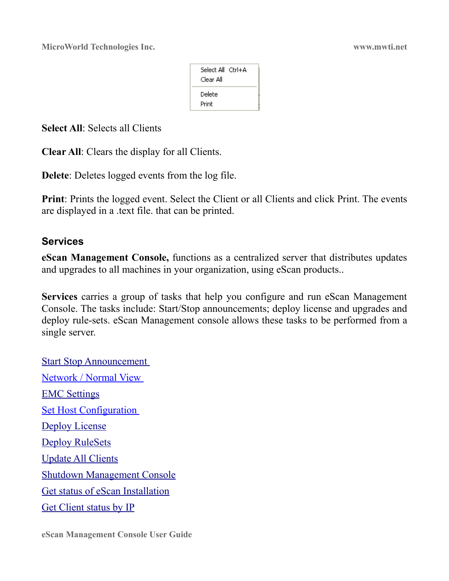| Select All (tri+A<br>Clear All |  |
|--------------------------------|--|
| Delete<br>Print                |  |

**Select All:** Selects all Clients

**Clear All**: Clears the display for all Clients.

**Delete**: Deletes logged events from the log file.

**Print**: Prints the logged event. Select the Client or all Clients and click Print. The events are displayed in a .text file. that can be printed.

### **Services**

**eScan Management Console,** functions as a centralized server that distributes updates and upgrades to all machines in your organization, using eScan products..

**Services** carries a group of tasks that help you configure and run eScan Management Console. The tasks include: Start/Stop announcements; deploy license and upgrades and deploy rule-sets. eScan Management console allows these tasks to be performed from a single server.

[Start Stop Announcement](#page-19-0)  [Network / Normal View](#page-19-2)  [EMC Settings](#page-19-1) [Set Host Configuration](#page-21-0)  [Deploy License](#page-30-1) [Deploy RuleSets](#page-32-0) [Update All Clients](#page-38-0) [Shutdown Management Console](#page-39-0) [Get status of eScan Installation](#page-25-0) [Get Client status by IP](#page-29-0)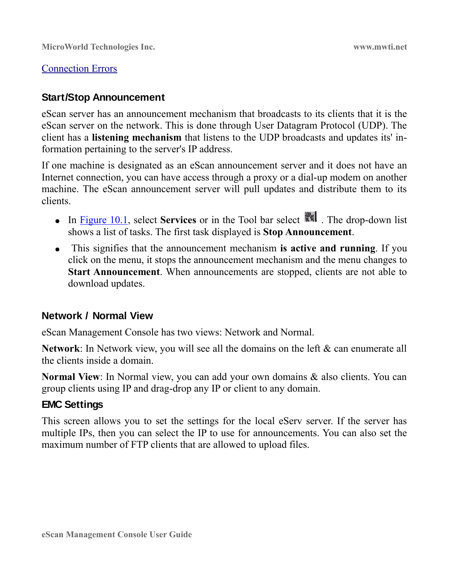### [Connection Errors](#page-39-1)

### <span id="page-19-0"></span>**Start/Stop Announcement**

eScan server has an announcement mechanism that broadcasts to its clients that it is the eScan server on the network. This is done through User Datagram Protocol (UDP). The client has a **listening mechanism** that listens to the UDP broadcasts and updates its' information pertaining to the server's IP address.

If one machine is designated as an eScan announcement server and it does not have an Internet connection, you can have access through a proxy or a dial-up modem on another machine. The eScan announcement server will pull updates and distribute them to its clients.

- In [Figure 10.1,](#page-10-1) select **Services** or in the Tool bar select  $\|\cdot\|$ . The drop-down list shows a list of tasks. The first task displayed is **Stop Announcement**.
- This signifies that the announcement mechanism **is active and running**. If you click on the menu, it stops the announcement mechanism and the menu changes to **Start Announcement**. When announcements are stopped, clients are not able to download updates.

### <span id="page-19-2"></span>**Network / Normal View**

eScan Management Console has two views: Network and Normal.

**Network**: In Network view, you will see all the domains on the left & can enumerate all the clients inside a domain.

**Normal View**: In Normal view, you can add your own domains & also clients. You can group clients using IP and drag-drop any IP or client to any domain.

### <span id="page-19-1"></span>**EMC Settings**

This screen allows you to set the settings for the local eServ server. If the server has multiple IPs, then you can select the IP to use for announcements. You can also set the maximum number of FTP clients that are allowed to upload files.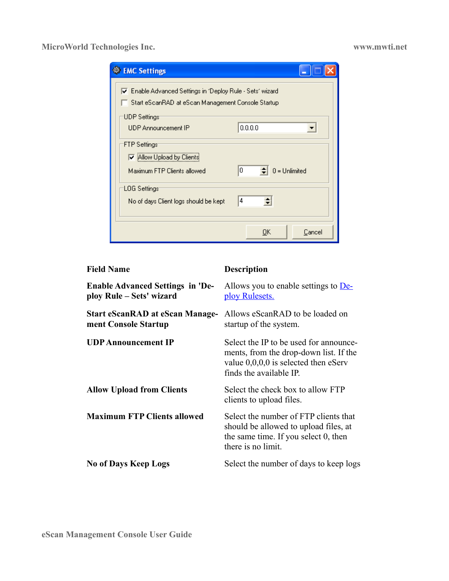| <b>EMC Settings</b>                                                                                                                                                       |  |
|---------------------------------------------------------------------------------------------------------------------------------------------------------------------------|--|
| ▽ Enable Advanced Settings in 'Deploy Rule - Sets' wizard<br>Start eScanRAD at eScan Management Console Startup<br>UDP Settings:<br>0.0.0.0<br><b>UDP Announcement IP</b> |  |
| FTP Settings:<br>☑ Allow Upload by Clients<br>$0 =$ Unlimited<br>10<br>Maximum FTP Clients allowed                                                                        |  |
| 'LOG Settings'<br>4<br>No of days Client logs should be kept                                                                                                              |  |
| Cancel<br>OΚ                                                                                                                                                              |  |

| <b>Field Name</b>                                                   | <b>Description</b>                                                                                                                                    |  |  |
|---------------------------------------------------------------------|-------------------------------------------------------------------------------------------------------------------------------------------------------|--|--|
| <b>Enable Advanced Settings in 'De-</b><br>ploy Rule – Sets' wizard | Allows you to enable settings to <u>De-</u><br>ploy Rulesets.                                                                                         |  |  |
| <b>Start eScanRAD at eScan Manage-</b><br>ment Console Startup      | Allows eScanRAD to be loaded on<br>startup of the system.                                                                                             |  |  |
| <b>UDP Announcement IP</b>                                          | Select the IP to be used for announce-<br>ments, from the drop-down list. If the<br>value $0,0,0,0$ is selected then eServ<br>finds the available IP. |  |  |
| <b>Allow Upload from Clients</b>                                    | Select the check box to allow FTP<br>clients to upload files.                                                                                         |  |  |
| <b>Maximum FTP Clients allowed</b>                                  | Select the number of FTP clients that<br>should be allowed to upload files, at<br>the same time. If you select 0, then<br>there is no limit.          |  |  |
| <b>No of Days Keep Logs</b>                                         | Select the number of days to keep logs                                                                                                                |  |  |
|                                                                     |                                                                                                                                                       |  |  |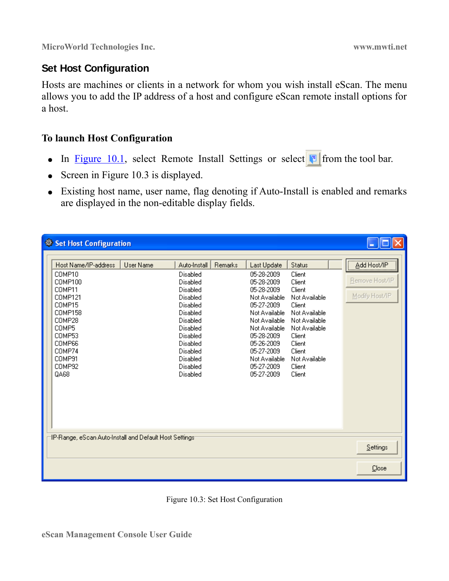### <span id="page-21-0"></span>**Set Host Configuration**

Hosts are machines or clients in a network for whom you wish install eScan. The menu allows you to add the IP address of a host and configure eScan remote install options for a host.

### **To launch Host Configuration**

- In [Figure 10.1,](#page-10-1) select Remote Install Settings or select  $\Box$  from the tool bar.
- Screen in Figure 10.3 is displayed.
- Existing host name, user name, flag denoting if Auto-Install is enabled and remarks are displayed in the non-editable display fields.

| Set Host Configuration                                                                                                                                           |                  |                                                                                                                                                                                      |         |                                                                                                                                                                                                                                |                                                                                                                                                                                       |                                                 |
|------------------------------------------------------------------------------------------------------------------------------------------------------------------|------------------|--------------------------------------------------------------------------------------------------------------------------------------------------------------------------------------|---------|--------------------------------------------------------------------------------------------------------------------------------------------------------------------------------------------------------------------------------|---------------------------------------------------------------------------------------------------------------------------------------------------------------------------------------|-------------------------------------------------|
| Host Name/IP-address<br>COMP10<br>COMP100<br>COMP11<br>COMP121<br>COMP15<br>COMP158<br>COMP28<br>COMP5<br>COMP53<br>COMP66<br>COMP74<br>COMP91<br>COMP92<br>QA68 | <b>User Name</b> | Auto-Install<br>Disabled<br>Disabled<br>Disabled<br>Disabled<br>Disabled<br>Disabled<br>Disabled<br>Disabled<br>Disabled<br>Disabled<br>Disabled<br>Disabled<br>Disabled<br>Disabled | Remarks | Last Update<br>05-28-2009<br>05-28-2009<br>05-28-2009<br>Not Available<br>05-27-2009<br>Not Available<br>Not Available<br>Not Available<br>05-28-2009<br>05-26-2009<br>05-27-2009<br>Not Available<br>05-27-2009<br>05-27-2009 | Status<br>Client<br>Client<br>Client<br>Not Available<br>Client<br>Not Available<br>Not Available<br>Not Available<br>Client<br>Client<br>Client<br>Not Available<br>Client<br>Client | Add Host/IP<br>Remove Host/IP<br>Modify Host/IP |
| IP-Range, eScan Auto-Install and Default Host Settings:<br>Settings                                                                                              |                  |                                                                                                                                                                                      |         |                                                                                                                                                                                                                                |                                                                                                                                                                                       |                                                 |
|                                                                                                                                                                  |                  |                                                                                                                                                                                      |         |                                                                                                                                                                                                                                |                                                                                                                                                                                       | Close                                           |

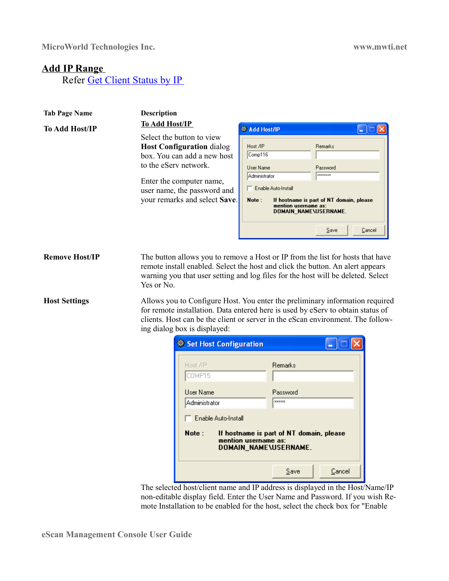### **Add IP Range**

Refer [Get Client Status by IP](#page-29-0) 

| <b>Tab Page Name</b>  | <b>Description</b>                                                                                                                                                                                                |                                                                                                                                                                                                                                                   |
|-----------------------|-------------------------------------------------------------------------------------------------------------------------------------------------------------------------------------------------------------------|---------------------------------------------------------------------------------------------------------------------------------------------------------------------------------------------------------------------------------------------------|
| <b>To Add Host/IP</b> | <b>To Add Host/IP</b>                                                                                                                                                                                             | <b>W</b> Add Host/IP                                                                                                                                                                                                                              |
|                       | Select the button to view<br><b>Host Configuration dialog</b><br>box. You can add a new host<br>to the eServ network.<br>Enter the computer name,<br>user name, the password and<br>your remarks and select Save. | Host /IP<br><b>Remarks</b><br>Comp116<br>User Name<br>Password<br>Administrator<br><b>REEXEEEE</b><br>Enable Auto-Install<br>Note:<br>If hostname is part of NT domain, please<br>mention username as:<br>DOMAIN NAME\USERNAME.<br>Save<br>Cancel |

**Remove Host/IP** The button allows you to remove a Host or IP from the list for hosts that have remote install enabled. Select the host and click the button. An alert appears warning you that user setting and log files for the host will be deleted. Select Yes or No.

**Host Settings** Allows you to Configure Host. You enter the preliminary information required for remote installation. Data entered here is used by eServ to obtain status of clients. Host can be the client or server in the eScan environment. The following dialog box is displayed:

| Set Host Configuration                                                                                                    |                          |  |  |
|---------------------------------------------------------------------------------------------------------------------------|--------------------------|--|--|
| Host /IP<br>COMP15                                                                                                        | <b>Remarks</b>           |  |  |
| Liser Name<br>Administrator                                                                                               | Password<br><b>xxxxx</b> |  |  |
| Enable Auto-Install<br>Note:<br>If hostname is part of NT domain, please<br>mention username as:<br>DOMAIN_NAME\USERNAME. |                          |  |  |
|                                                                                                                           | Cancel<br>Save           |  |  |

The selected host/client name and IP address is displayed in the Host/Name/IP non-editable display field. Enter the User Name and Password. If you wish Remote Installation to be enabled for the host, select the check box for "Enable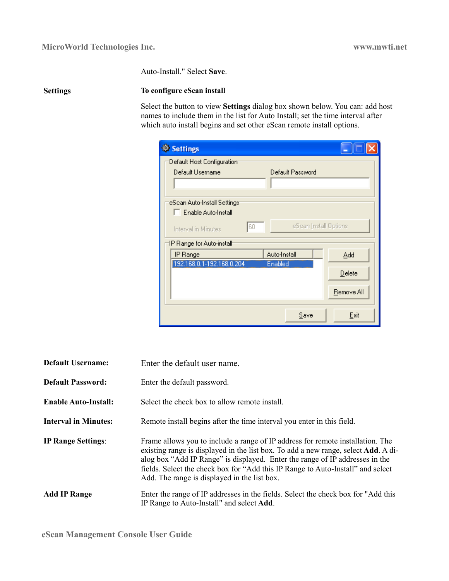Auto-Install." Select **Save**.

### **Settings To configure eScan install**

Select the button to view **Settings** dialog box shown below. You can: add host names to include them in the list for Auto Install; set the time interval after which auto install begins and set other eScan remote install options.

| Settings                                              |                       |
|-------------------------------------------------------|-----------------------|
| Default Host Configuration                            |                       |
| Default Username                                      | Default Password      |
|                                                       |                       |
| eScan Auto-Install Settings:<br>E Enable Auto-Install |                       |
| 60<br>Interval in Minutes                             | eScan Install Options |
| IP Range for Auto-install <sup>.</sup>                |                       |
| IP Range                                              | Auto-Install<br>Add   |
| 192.168.0.1-192.168.0.204                             | Enabled<br>Delete     |
|                                                       | Remove All            |
|                                                       | Exit<br>Save          |

| <b>Default Username:</b>    | Enter the default user name.                                                                                                                                                                                                                                                                                                                                                                    |
|-----------------------------|-------------------------------------------------------------------------------------------------------------------------------------------------------------------------------------------------------------------------------------------------------------------------------------------------------------------------------------------------------------------------------------------------|
| <b>Default Password:</b>    | Enter the default password.                                                                                                                                                                                                                                                                                                                                                                     |
| <b>Enable Auto-Install:</b> | Select the check box to allow remote install.                                                                                                                                                                                                                                                                                                                                                   |
| <b>Interval in Minutes:</b> | Remote install begins after the time interval you enter in this field.                                                                                                                                                                                                                                                                                                                          |
| <b>IP Range Settings:</b>   | Frame allows you to include a range of IP address for remote installation. The<br>existing range is displayed in the list box. To add a new range, select <b>Add</b> . A di-<br>alog box "Add IP Range" is displayed. Enter the range of IP addresses in the<br>fields. Select the check box for "Add this IP Range to Auto-Install" and select<br>Add. The range is displayed in the list box. |
| <b>Add IP Range</b>         | Enter the range of IP addresses in the fields. Select the check box for "Add this<br>IP Range to Auto-Install" and select Add.                                                                                                                                                                                                                                                                  |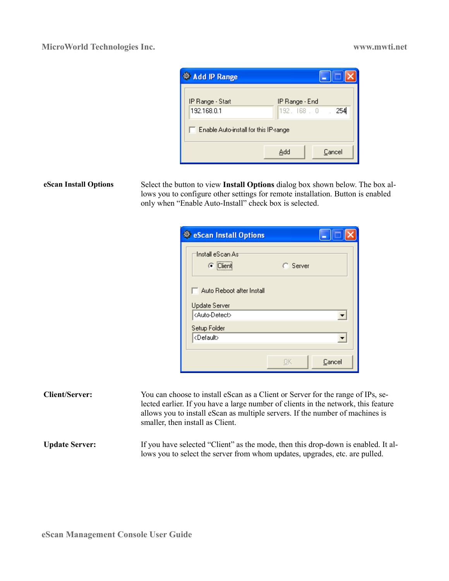| <b>Add IP Range</b>                   |                                    |
|---------------------------------------|------------------------------------|
| IP Range - Start<br>192.168.0.1       | IP Range - End<br>254<br>192.168.0 |
| Enable Auto-install for this IP-range |                                    |
|                                       | Cancel<br>Add                      |

**eScan Install Options** Select the button to view **Install Options** dialog box shown below. The box allows you to configure other settings for remote installation. Button is enabled only when "Enable Auto-Install" check box is selected.

| <b>eScan Install Options</b>                      |          |        |
|---------------------------------------------------|----------|--------|
| Install eScan Asi<br>$\odot$ Client               | C Server |        |
| Auto Reboot after Install<br><b>Update Server</b> |          |        |
| <auto-detect></auto-detect>                       |          |        |
| Setup Folder                                      |          |        |
| <default></default>                               |          |        |
|                                                   |          |        |
|                                                   | ПΚ       | Cancel |

| <b>Client/Server:</b> | You can choose to install eScan as a Client or Server for the range of IPs, se-<br>lected earlier. If you have a large number of clients in the network, this feature<br>allows you to install eScan as multiple servers. If the number of machines is<br>smaller, then install as Client. |
|-----------------------|--------------------------------------------------------------------------------------------------------------------------------------------------------------------------------------------------------------------------------------------------------------------------------------------|
| <b>Update Server:</b> | If you have selected "Client" as the mode, then this drop-down is enabled. It al-<br>lows you to select the server from whom updates, upgrades, etc. are pulled.                                                                                                                           |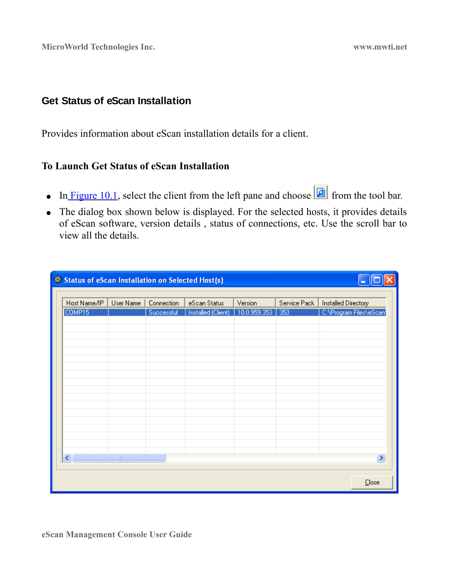### <span id="page-25-0"></span>**Get Status of eScan Installation**

Provides information about eScan installation details for a client.

### **To Launch Get Status of eScan Installation**

- In [Figure 10.1,](#page-10-1) select the client from the left pane and choose  $\boxed{\Box}$  from the tool bar.
- The dialog box shown below is displayed. For the selected hosts, it provides details of eScan software, version details , status of connections, etc. Use the scroll bar to view all the details.

| Status of eScan Installation on Selected Host(s)             |           |            |                           |              |              |                            |
|--------------------------------------------------------------|-----------|------------|---------------------------|--------------|--------------|----------------------------|
|                                                              |           |            |                           |              |              |                            |
| Host Name/IP                                                 | User Name | Connection | eScan Status              | Version      | Service Pack | <b>Installed Directory</b> |
| COMP15                                                       |           | Successful | <b>Installed (Client)</b> | 10.0.959.353 | 353          | C:\Program Files\eScan'    |
|                                                              |           |            |                           |              |              |                            |
|                                                              |           |            |                           |              |              |                            |
|                                                              |           |            |                           |              |              |                            |
|                                                              |           |            |                           |              |              |                            |
|                                                              |           |            |                           |              |              |                            |
|                                                              |           |            |                           |              |              |                            |
|                                                              |           |            |                           |              |              |                            |
|                                                              |           |            |                           |              |              |                            |
|                                                              |           |            |                           |              |              |                            |
|                                                              |           |            |                           |              |              |                            |
|                                                              |           |            |                           |              |              |                            |
|                                                              |           |            |                           |              |              |                            |
|                                                              |           |            |                           |              |              |                            |
|                                                              |           |            |                           |              |              |                            |
|                                                              |           |            |                           |              |              |                            |
|                                                              |           |            |                           |              |              |                            |
|                                                              |           |            |                           |              |              |                            |
|                                                              |           |            |                           |              |              |                            |
| $\left\vert \cdot \right\vert$<br>$\rightarrow$<br>$\rm HII$ |           |            |                           |              |              |                            |
|                                                              |           |            |                           |              |              |                            |
|                                                              |           |            |                           |              |              |                            |
|                                                              |           |            |                           |              |              | Close                      |
|                                                              |           |            |                           |              |              |                            |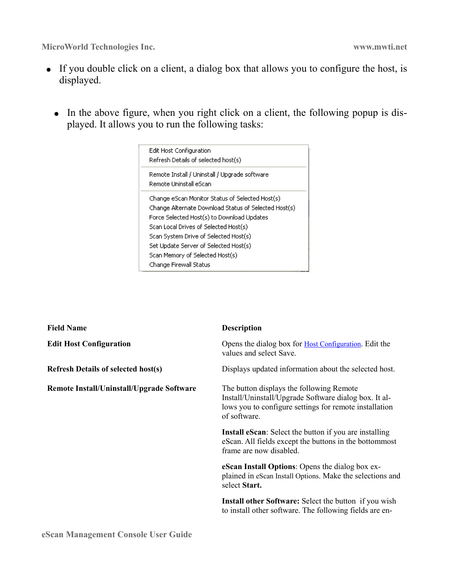- If you double click on a client, a dialog box that allows you to configure the host, is displayed.
	- In the above figure, when you right click on a client, the following popup is displayed. It allows you to run the following tasks:



| <b>Field Name</b>                          | <b>Description</b>                                                                                                                                                          |  |
|--------------------------------------------|-----------------------------------------------------------------------------------------------------------------------------------------------------------------------------|--|
| <b>Edit Host Configuration</b>             | Opens the dialog box for <b>Host Configuration</b> . Edit the<br>values and select Save.                                                                                    |  |
| <b>Refresh Details of selected host(s)</b> | Displays updated information about the selected host.                                                                                                                       |  |
| Remote Install/Uninstall/Upgrade Software  | The button displays the following Remote<br>Install/Uninstall/Upgrade Software dialog box. It al-<br>lows you to configure settings for remote installation<br>of software. |  |
|                                            | <b>Install eScan:</b> Select the button if you are installing<br>eScan. All fields except the buttons in the bottommost<br>frame are now disabled.                          |  |
|                                            | eScan Install Options: Opens the dialog box ex-<br>plained in eScan Install Options. Make the selections and<br>select Start.                                               |  |
|                                            | Install other Software: Select the button if you wish<br>to install other software. The following fields are en-                                                            |  |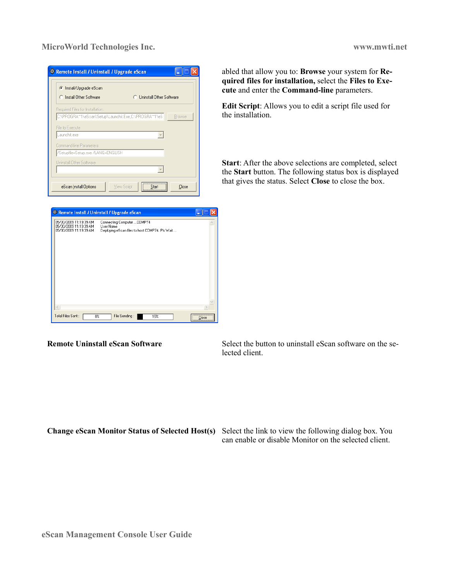| Remote Install / Uninstall / Upgrade eScan<br>G.      |                                   |
|-------------------------------------------------------|-----------------------------------|
| Install/Upgrade eScan<br>Install Other Software       | <b>C</b> Uninstall Other Software |
| Required Files for Installation.                      |                                   |
| C:\PROGRA^^1\eScan\Setup\Launchit.Exe,C:\PROGRA^^1\eS | <b>Browse</b>                     |
| File to Execute                                       |                                   |
| Launchit.exe                                          |                                   |
| Command-line Parameters                               |                                   |
| /Setupfile=Setup.exe /LANG=ENGLISH                    |                                   |
| Uninstall Other Software                              |                                   |
|                                                       |                                   |
|                                                       |                                   |
| eScan Install Options                                 | View Script<br>Start<br>Close     |



abled that allow you to: **Browse** your system for **Required files for installation,** select the **Files to Execute** and enter the **Command-line** parameters.

**Edit Script**: Allows you to edit a script file used for the installation.

**Start**: After the above selections are completed, select the **Start** button. The following status box is displayed that gives the status. Select **Close** to close the box.

**Remote Uninstall eScan Software <b>Select** the button to uninstall eScan software on the selected client.

**Change eScan Monitor Status of Selected Host(s)** Select the link to view the following dialog box. You can enable or disable Monitor on the selected client.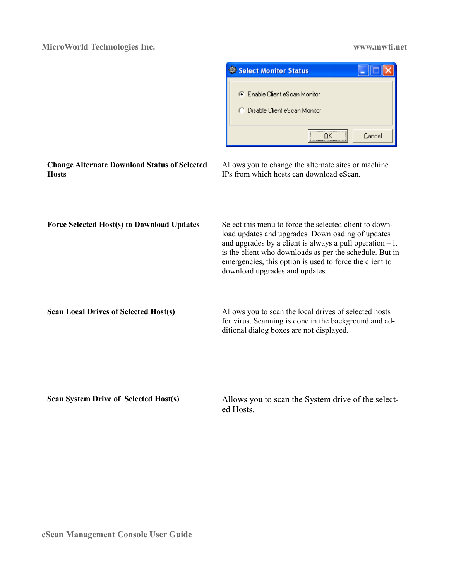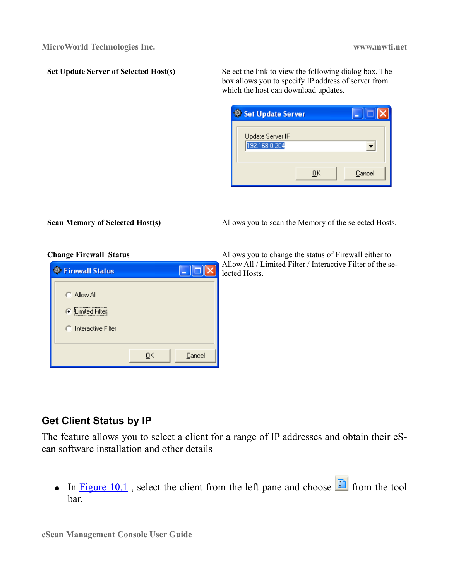**Set Update Server of Selected Host(s)** Select the link to view the following dialog box. The box allows you to specify IP address of server from which the host can download updates.

| <b>Set Update Server</b>          |    |        |
|-----------------------------------|----|--------|
| Update Server IP<br>192.168.0.204 |    |        |
|                                   | OΚ | Cancel |

**Scan Memory of Selected Host(s)** Allows you to scan the Memory of the selected Hosts.

| <b>Firewall Status</b>                                                |    |        |
|-----------------------------------------------------------------------|----|--------|
| C Allow All<br><b>C</b> Limited Filter<br><b>C</b> Interactive Filter |    |        |
|                                                                       | QK | Cancel |

**Change Firewall Status 3.2.3. Allows you to change the status of Firewall either to** Allow All / Limited Filter / Interactive Filter of the selected Hosts.

### <span id="page-29-0"></span>**Get Client Status by IP**

The feature allows you to select a client for a range of IP addresses and obtain their eScan software installation and other details

• In **Figure 10.1**, select the client from the left pane and choose  $\left[\begin{array}{c} \blacksquare \end{array}\right]$  from the tool bar.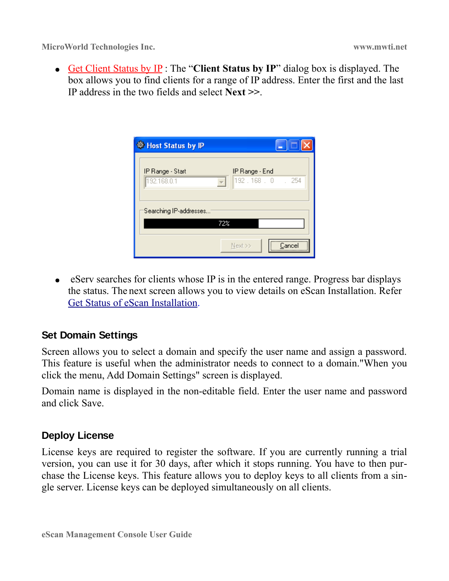● Get Client Status by IP : The "**Client Status by IP**" dialog box is displayed. The box allows you to find clients for a range of IP address. Enter the first and the last IP address in the two fields and select **Next >>**.

| <b>Host Status by IP</b>        |                                 |
|---------------------------------|---------------------------------|
| IP Range - Start<br>192.168.0.1 | IP Range - End<br>192.168.0.254 |
| Searching IP-addresses          |                                 |
| 72%                             |                                 |
|                                 | Next >><br>Cancel               |

• eServ searches for clients whose IP is in the entered range. Progress bar displays the status. The next screen allows you to view details on eScan Installation. Refer [Get Status of eScan Installation.](#page-25-0)

### <span id="page-30-0"></span>**Set Domain Settings**

Screen allows you to select a domain and specify the user name and assign a password. This feature is useful when the administrator needs to connect to a domain."When you click the menu, Add Domain Settings" screen is displayed.

Domain name is displayed in the non-editable field. Enter the user name and password and click Save.

### <span id="page-30-1"></span>**Deploy License**

License keys are required to register the software. If you are currently running a trial version, you can use it for 30 days, after which it stops running. You have to then purchase the License keys. This feature allows you to deploy keys to all clients from a single server. License keys can be deployed simultaneously on all clients.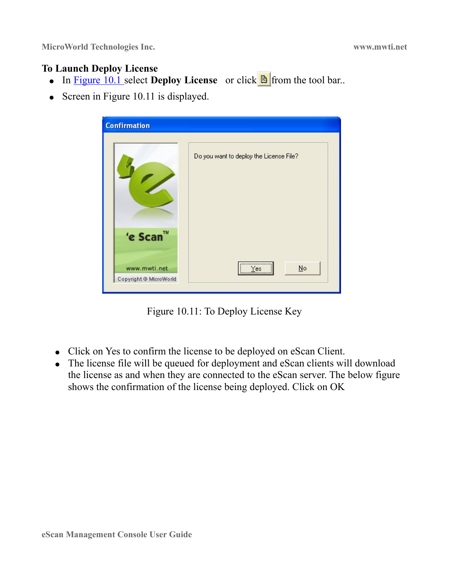### **To Launch Deploy License**

- In **Figure 10.1** select **Deploy License** or click  $\mathbb{B}$  from the tool bar..
- Screen in Figure 10.11 is displayed.

| <b>Confirmation</b>                    |                                         |
|----------------------------------------|-----------------------------------------|
|                                        | Do you want to deploy the License File? |
| 'e Scan™                               |                                         |
| www.mwti.net<br>Copyright @ MicroWorld | <br>$\underline{\mathsf{N}}$ o<br>Yes   |

Figure 10.11: To Deploy License Key

- Click on Yes to confirm the license to be deployed on eScan Client.
- The license file will be queued for deployment and eScan clients will download the license as and when they are connected to the eScan server. The below figure shows the confirmation of the license being deployed. Click on OK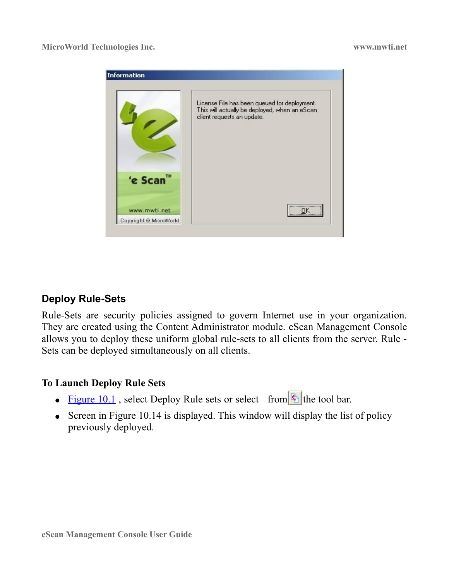

### <span id="page-32-0"></span>**Deploy Rule-Sets**

Rule-Sets are security policies assigned to govern Internet use in your organization. They are created using the Content Administrator module. eScan Management Console allows you to deploy these uniform global rule-sets to all clients from the server. Rule - Sets can be deployed simultaneously on all clients.

### **To Launch Deploy Rule Sets**

- Figure 10.1, select Deploy Rule sets or select from  $\Phi$  the tool bar.
- Screen in Figure 10.14 is displayed. This window will display the list of policy previously deployed.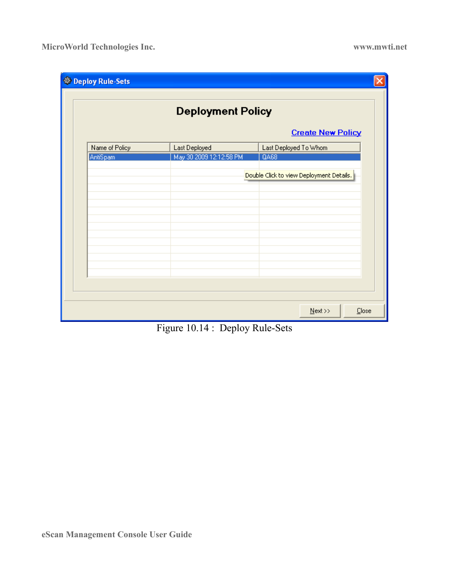| Deploy Rule-Sets |                          |                                          |
|------------------|--------------------------|------------------------------------------|
|                  | <b>Deployment Policy</b> |                                          |
|                  |                          | <b>Create New Policy</b>                 |
| Name of Policy   | Last Deployed            | Last Deployed To Whom                    |
| AntiSpam         | May 30 2009 12:12:58 PM  | <b>QA68</b>                              |
|                  |                          |                                          |
|                  |                          | Double Click to view Deployment Details. |
|                  |                          |                                          |
|                  |                          |                                          |
|                  |                          |                                          |
|                  |                          |                                          |
|                  |                          |                                          |
|                  |                          |                                          |
|                  |                          |                                          |
|                  |                          |                                          |
|                  |                          |                                          |
|                  |                          |                                          |
|                  |                          |                                          |
|                  |                          |                                          |
|                  |                          | $N$ ext >><br>Close                      |

Figure 10.14 : Deploy Rule-Sets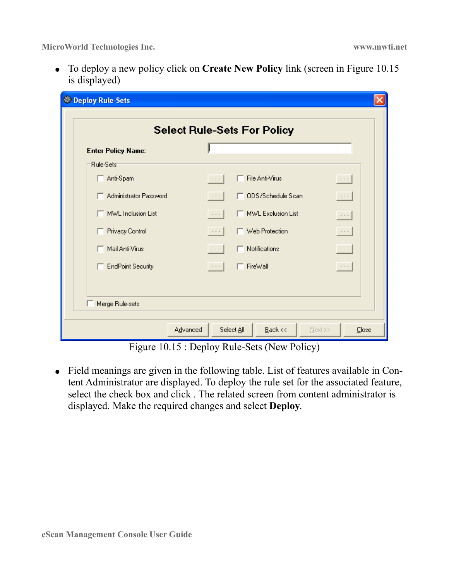● To deploy a new policy click on **Create New Policy** link (screen in Figure 10.15 is displayed)

|                           |                      | <b>Select Rule-Sets For Policy</b> |                      |
|---------------------------|----------------------|------------------------------------|----------------------|
| <b>Enter Policy Name:</b> |                      |                                    |                      |
| Rule-Sets                 |                      |                                    |                      |
| Anti-Spam                 | $\sim$ $\sim$ $\sim$ | File Anti-Virus                    | $\sim$ - $\sim$      |
| Administrator Password    | $\sim$               | ODS/Schedule Scan                  | $\sim$ $\sim$        |
| MWL Inclusion List        | $\sim$ $\sim$ $\sim$ | MWL Exclusion List                 | $\sim$ $\sim$        |
| Privacy Control           | $\sim$ $\sim$ $\sim$ | $\Box$ Web Protection              | $\sim$ - $\sim$      |
| Mail Anti-Virus           | $\sim$ $-$           | Notifications                      | $\sim$ - $\sim$      |
| <b>EndPoint Security</b>  | $\sim$ $\sim$ $\sim$ | $\Box$ FireWall                    | $\sim$ $\sim$ $\sim$ |
|                           |                      |                                    |                      |
|                           |                      |                                    |                      |

Figure 10.15 : Deploy Rule-Sets (New Policy)

● Field meanings are given in the following table. List of features available in Content Administrator are displayed. To deploy the rule set for the associated feature, select the check box and click . The related screen from content administrator is displayed. Make the required changes and select **Deploy**.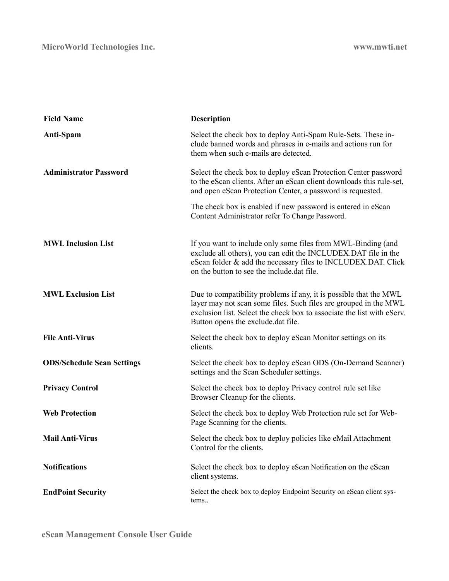| <b>Field Name</b>                 | <b>Description</b>                                                                                                                                                                                                                                    |
|-----------------------------------|-------------------------------------------------------------------------------------------------------------------------------------------------------------------------------------------------------------------------------------------------------|
| Anti-Spam                         | Select the check box to deploy Anti-Spam Rule-Sets. These in-<br>clude banned words and phrases in e-mails and actions run for<br>them when such e-mails are detected.                                                                                |
| <b>Administrator Password</b>     | Select the check box to deploy eScan Protection Center password<br>to the eScan clients. After an eScan client downloads this rule-set,<br>and open eScan Protection Center, a password is requested.                                                 |
|                                   | The check box is enabled if new password is entered in eScan<br>Content Administrator refer To Change Password.                                                                                                                                       |
| <b>MWL Inclusion List</b>         | If you want to include only some files from MWL-Binding (and<br>exclude all others), you can edit the INCLUDEX.DAT file in the<br>eScan folder & add the necessary files to INCLUDEX.DAT. Click<br>on the button to see the include dat file.         |
| <b>MWL Exclusion List</b>         | Due to compatibility problems if any, it is possible that the MWL<br>layer may not scan some files. Such files are grouped in the MWL<br>exclusion list. Select the check box to associate the list with eServ.<br>Button opens the exclude.dat file. |
| <b>File Anti-Virus</b>            | Select the check box to deploy eScan Monitor settings on its<br>clients.                                                                                                                                                                              |
| <b>ODS/Schedule Scan Settings</b> | Select the check box to deploy eScan ODS (On-Demand Scanner)<br>settings and the Scan Scheduler settings.                                                                                                                                             |
| <b>Privacy Control</b>            | Select the check box to deploy Privacy control rule set like<br>Browser Cleanup for the clients.                                                                                                                                                      |
| <b>Web Protection</b>             | Select the check box to deploy Web Protection rule set for Web-<br>Page Scanning for the clients.                                                                                                                                                     |
| <b>Mail Anti-Virus</b>            | Select the check box to deploy policies like eMail Attachment<br>Control for the clients.                                                                                                                                                             |
| <b>Notifications</b>              | Select the check box to deploy eScan Notification on the eScan<br>client systems.                                                                                                                                                                     |
| <b>EndPoint Security</b>          | Select the check box to deploy Endpoint Security on eScan client sys-<br>tems                                                                                                                                                                         |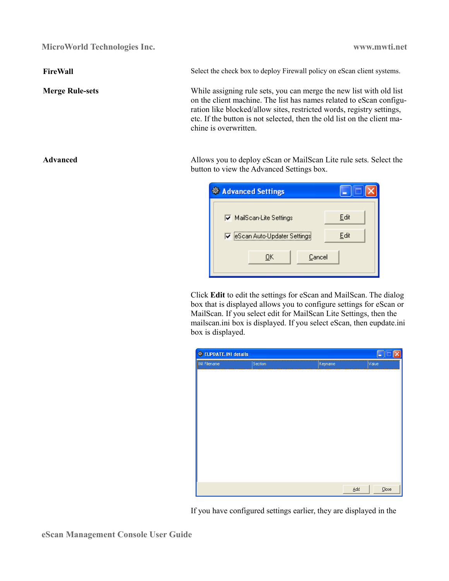**FireWall** Select the check box to deploy Firewall policy on eScan client systems.

**Merge Rule-sets** While assigning rule sets, you can merge the new list with old list on the client machine. The list has names related to eScan configuration like blocked/allow sites, restricted words, registry settings, etc. If the button is not selected, then the old list on the client machine is overwritten.

Advanced Allows you to deploy eScan or MailScan Lite rule sets. Select the button to view the Advanced Settings box.

| <b>Advanced Settings</b>      |      |
|-------------------------------|------|
| MailScan-Lite Settings        | Edit |
| □ eScan Auto-Updater Settings | Edit |
| Cancel<br>OΚ                  |      |

Click **Edit** to edit the settings for eScan and MailScan. The dialog box that is displayed allows you to configure settings for eScan or MailScan. If you select edit for MailScan Lite Settings, then the mailscan.ini box is displayed. If you select eScan, then eupdate.ini box is displayed.



If you have configured settings earlier, they are displayed in the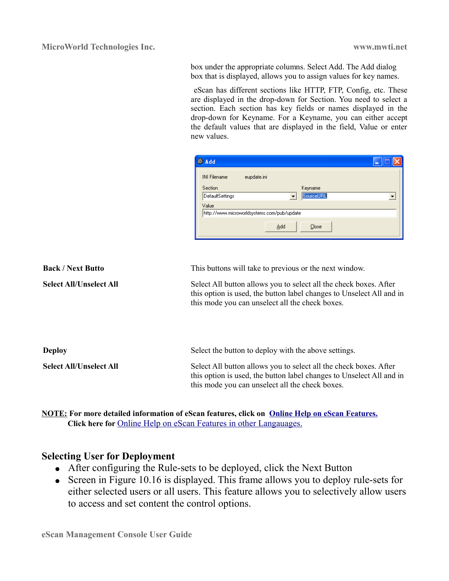box under the appropriate columns. Select Add. The Add dialog box that is displayed, allows you to assign values for key names.

 eScan has different sections like HTTP, FTP, Config, etc. These are displayed in the drop-down for Section. You need to select a section. Each section has key fields or names displayed in the drop-down for Keyname. For a Keyname, you can either accept the default values that are displayed in the field, Value or enter new values.

| <b>Add</b>                                           |                      |
|------------------------------------------------------|----------------------|
| <b>INI Filename</b><br>eupdate.ini                   |                      |
| Section<br><b>DefaultSettings</b>                    | Keyname<br>SourceURL |
| Value<br>http://www.microworldsystems.com/pub/update |                      |
| Add                                                  | Close                |

| <b>Back / Next Butto</b>       | This buttons will take to previous or the next window.                                                                                                                                       |
|--------------------------------|----------------------------------------------------------------------------------------------------------------------------------------------------------------------------------------------|
| <b>Select All/Unselect All</b> | Select All button allows you to select all the check boxes. After<br>this option is used, the button label changes to Unselect All and in<br>this mode you can unselect all the check boxes. |
| <b>Deploy</b>                  | Select the button to deploy with the above settings.                                                                                                                                         |
| <b>Select All/Unselect All</b> | Select All button allows you to select all the check boxes. After<br>this option is used, the button label changes to Unselect All and in<br>this mode you can unselect all the check boxes. |

**NOTE: For more detailed information of eScan features, click on [Online Help on eScan Features.](http://download1.mwti.net/wiki/index.php/EPC) Click here for** [Online Help on eScan Features in other Langauages.](http://download1.mwti.net/wiki/index.php/Langauge)

### **Selecting User for Deployment**

- After configuring the Rule-sets to be deployed, click the Next Button
- Screen in Figure 10.16 is displayed. This frame allows you to deploy rule-sets for either selected users or all users. This feature allows you to selectively allow users to access and set content the control options.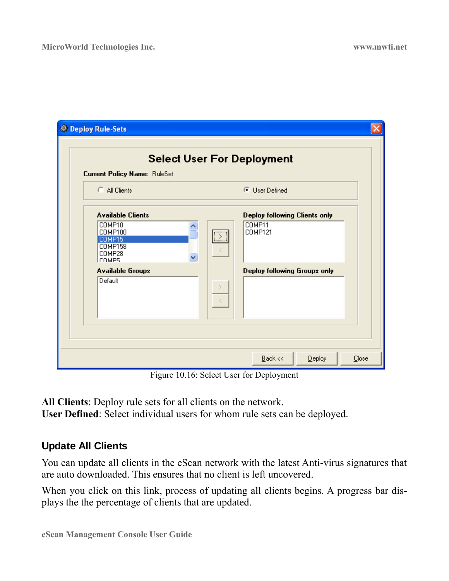| Deploy Rule-Sets                                                                                                             |                                                                                                                             |
|------------------------------------------------------------------------------------------------------------------------------|-----------------------------------------------------------------------------------------------------------------------------|
| <b>Current Policy Name: RuleSet</b>                                                                                          | <b>Select User For Deployment</b>                                                                                           |
| C All Clients                                                                                                                | <b>C</b> User Defined                                                                                                       |
| <b>Available Clients</b><br>COMP10<br>COMP100<br>COMP15<br>COMP158<br>COMP28<br>Ісомев<br><b>Available Groups</b><br>Default | <b>Deploy following Clients only</b><br>COMP11<br><b>COMP121</b><br>$\overline{\mathbb{R}}$<br>Deploy following Groups only |
|                                                                                                                              |                                                                                                                             |
|                                                                                                                              | $\underline{B}$ ack <<<br>$D$ eploy<br>Close                                                                                |

Figure 10.16: Select User for Deployment

**All Clients**: Deploy rule sets for all clients on the network. **User Defined**: Select individual users for whom rule sets can be deployed.

### <span id="page-38-0"></span>**Update All Clients**

You can update all clients in the eScan network with the latest Anti-virus signatures that are auto downloaded. This ensures that no client is left uncovered.

When you click on this link, process of updating all clients begins. A progress bar displays the the percentage of clients that are updated.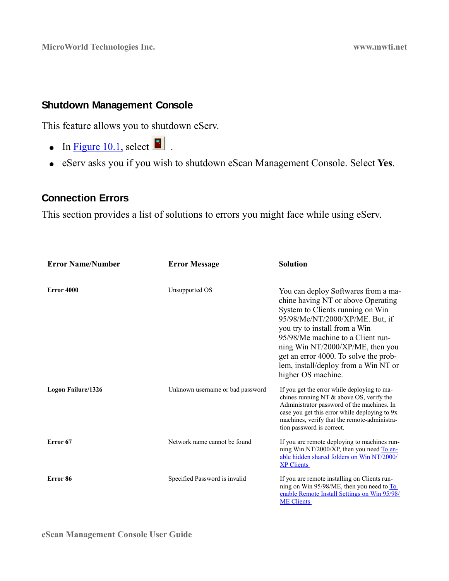### <span id="page-39-0"></span>**Shutdown Management Console**

This feature allows you to shutdown eServ.

- In [Figure 10.1,](#page-10-1) select  $\blacksquare$ .
- eServ asks you if you wish to shutdown eScan Management Console. Select **Yes**.

### <span id="page-39-1"></span>**Connection Errors**

This section provides a list of solutions to errors you might face while using eServ.

| <b>Error Name/Number</b>  | <b>Error Message</b>             | <b>Solution</b>                                                                                                                                                                                                                                                                                                                                                   |  |
|---------------------------|----------------------------------|-------------------------------------------------------------------------------------------------------------------------------------------------------------------------------------------------------------------------------------------------------------------------------------------------------------------------------------------------------------------|--|
| Error 4000                | Unsupported OS                   | You can deploy Softwares from a ma-<br>chine having NT or above Operating<br>System to Clients running on Win<br>95/98/Me/NT/2000/XP/ME. But, if<br>you try to install from a Win<br>95/98/Me machine to a Client run-<br>ning Win NT/2000/XP/ME, then you<br>get an error 4000. To solve the prob-<br>lem, install/deploy from a Win NT or<br>higher OS machine. |  |
| <b>Logon Failure/1326</b> | Unknown username or bad password | If you get the error while deploying to ma-<br>chines running NT $\&$ above OS, verify the<br>Administrator password of the machines. In<br>case you get this error while deploying to 9x<br>machines, verify that the remote-administra-<br>tion password is correct.                                                                                            |  |
| Error <sub>67</sub>       | Network name cannot be found     | If you are remote deploying to machines run-<br>ning Win NT/2000/XP, then you need To en-<br>able hidden shared folders on Win NT/2000/<br><b>XP Clients</b>                                                                                                                                                                                                      |  |
| Error 86                  | Specified Password is invalid    | If you are remote installing on Clients run-<br>ning on Win 95/98/ME, then you need to To<br>enable Remote Install Settings on Win 95/98/<br><b>ME</b> Clients                                                                                                                                                                                                    |  |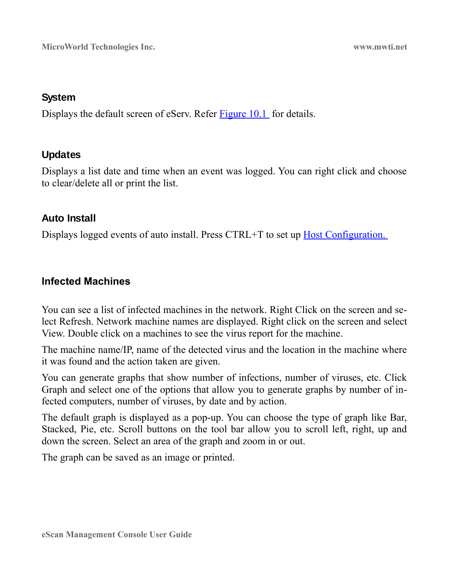### **System**

Displays the default screen of eServ. Refer [Figure 10.1](#page-10-1) for details.

### **Updates**

Displays a list date and time when an event was logged. You can right click and choose to clear/delete all or print the list.

### **Auto Install**

Displays logged events of auto install. Press CTRL+T to set up Host Configuration.

### **Infected Machines**

You can see a list of infected machines in the network. Right Click on the screen and select Refresh. Network machine names are displayed. Right click on the screen and select View. Double click on a machines to see the virus report for the machine.

The machine name/IP, name of the detected virus and the location in the machine where it was found and the action taken are given.

You can generate graphs that show number of infections, number of viruses, etc. Click Graph and select one of the options that allow you to generate graphs by number of infected computers, number of viruses, by date and by action.

The default graph is displayed as a pop-up. You can choose the type of graph like Bar, Stacked, Pie, etc. Scroll buttons on the tool bar allow you to scroll left, right, up and down the screen. Select an area of the graph and zoom in or out.

The graph can be saved as an image or printed.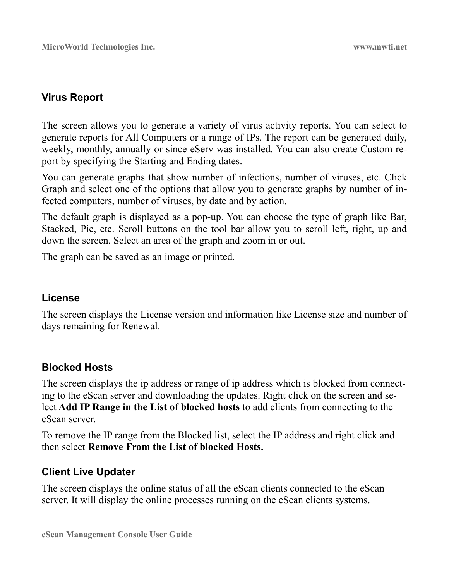### **Virus Report**

The screen allows you to generate a variety of virus activity reports. You can select to generate reports for All Computers or a range of IPs. The report can be generated daily, weekly, monthly, annually or since eServ was installed. You can also create Custom report by specifying the Starting and Ending dates.

You can generate graphs that show number of infections, number of viruses, etc. Click Graph and select one of the options that allow you to generate graphs by number of infected computers, number of viruses, by date and by action.

The default graph is displayed as a pop-up. You can choose the type of graph like Bar, Stacked, Pie, etc. Scroll buttons on the tool bar allow you to scroll left, right, up and down the screen. Select an area of the graph and zoom in or out.

The graph can be saved as an image or printed.

### **License**

The screen displays the License version and information like License size and number of days remaining for Renewal.

### **Blocked Hosts**

The screen displays the ip address or range of ip address which is blocked from connecting to the eScan server and downloading the updates. Right click on the screen and select **Add IP Range in the List of blocked hosts** to add clients from connecting to the eScan server.

To remove the IP range from the Blocked list, select the IP address and right click and then select **Remove From the List of blocked Hosts.** 

### **Client Live Updater**

The screen displays the online status of all the eScan clients connected to the eScan server. It will display the online processes running on the eScan clients systems.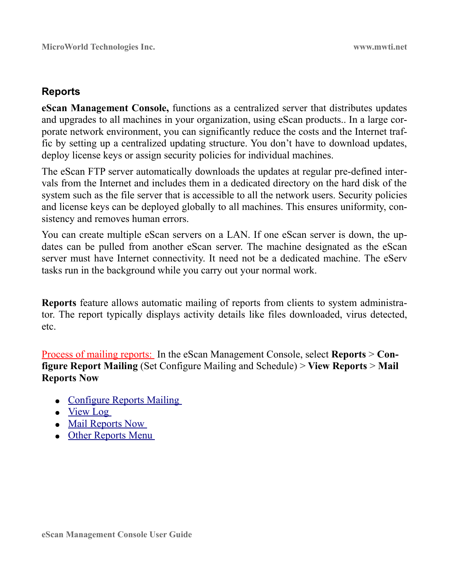### **Reports**

**eScan Management Console,** functions as a centralized server that distributes updates and upgrades to all machines in your organization, using eScan products.. In a large corporate network environment, you can significantly reduce the costs and the Internet traffic by setting up a centralized updating structure. You don't have to download updates, deploy license keys or assign security policies for individual machines.

The eScan FTP server automatically downloads the updates at regular pre-defined intervals from the Internet and includes them in a dedicated directory on the hard disk of the system such as the file server that is accessible to all the network users. Security policies and license keys can be deployed globally to all machines. This ensures uniformity, consistency and removes human errors.

You can create multiple eScan servers on a LAN. If one eScan server is down, the updates can be pulled from another eScan server. The machine designated as the eScan server must have Internet connectivity. It need not be a dedicated machine. The eServ tasks run in the background while you carry out your normal work.

**Reports** feature allows automatic mailing of reports from clients to system administrator. The report typically displays activity details like files downloaded, virus detected, etc.

Process of mailing reports: In the eScan Management Console, select **Reports** > **Configure Report Mailing** (Set Configure Mailing and Schedule) > **View Reports** > **Mail Reports Now** 

- Configure Reports Mailing
- ● [View Log](#page-45-1)
- Mail Reports Now
- Other Reports Menu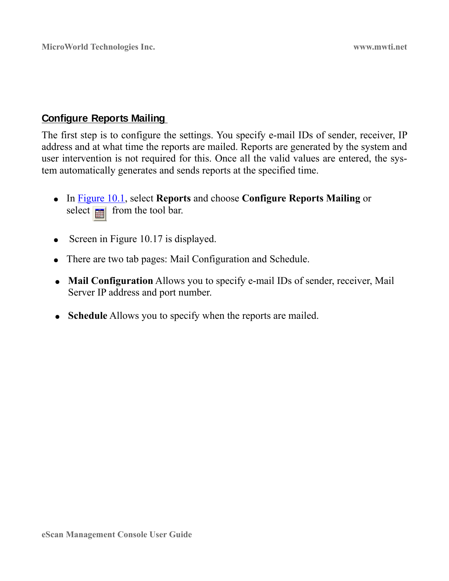### <span id="page-43-0"></span>**Configure Reports Mailing**

The first step is to configure the settings. You specify e-mail IDs of sender, receiver, IP address and at what time the reports are mailed. Reports are generated by the system and user intervention is not required for this. Once all the valid values are entered, the system automatically generates and sends reports at the specified time.

- In [Figure 10.1,](#page-10-1) select **Reports** and choose **Configure Reports Mailing** or select  $\frac{1}{\sqrt{2}}$  from the tool bar.
- Screen in Figure 10.17 is displayed.
- There are two tab pages: Mail Configuration and Schedule.
- **Mail Configuration** Allows you to specify e-mail IDs of sender, receiver, Mail Server IP address and port number.
- **Schedule** Allows you to specify when the reports are mailed.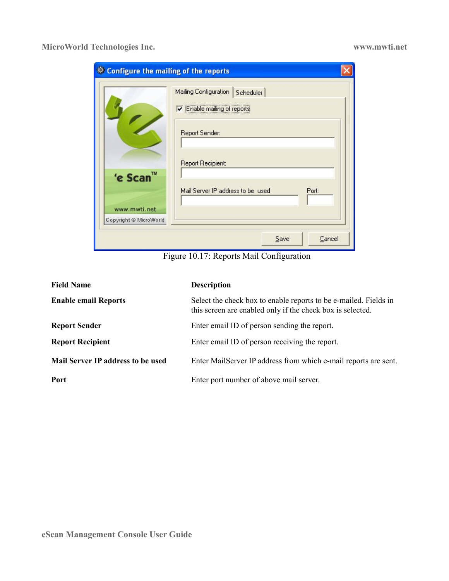| <b>Configure the mailing of the reports</b>        |                                                                                                                                                               |  |
|----------------------------------------------------|---------------------------------------------------------------------------------------------------------------------------------------------------------------|--|
| 'e Scan™<br>www.mwti.net<br>Copyright @ MicroWorld | Mailing Configuration<br>Scheduler<br><b>V</b> Enable mailing of reports<br>Report Sender:<br>Report Recipient:<br>Mail Server IP address to be used<br>Port: |  |
|                                                    | Cancel<br>Save                                                                                                                                                |  |

Figure 10.17: Reports Mail Configuration

| <b>Field Name</b>                 | <b>Description</b>                                                                                                             |
|-----------------------------------|--------------------------------------------------------------------------------------------------------------------------------|
| <b>Enable email Reports</b>       | Select the check box to enable reports to be e-mailed. Fields in<br>this screen are enabled only if the check box is selected. |
| <b>Report Sender</b>              | Enter email ID of person sending the report.                                                                                   |
| <b>Report Recipient</b>           | Enter email ID of person receiving the report.                                                                                 |
| Mail Server IP address to be used | Enter MailServer IP address from which e-mail reports are sent.                                                                |
| Port                              | Enter port number of above mail server.                                                                                        |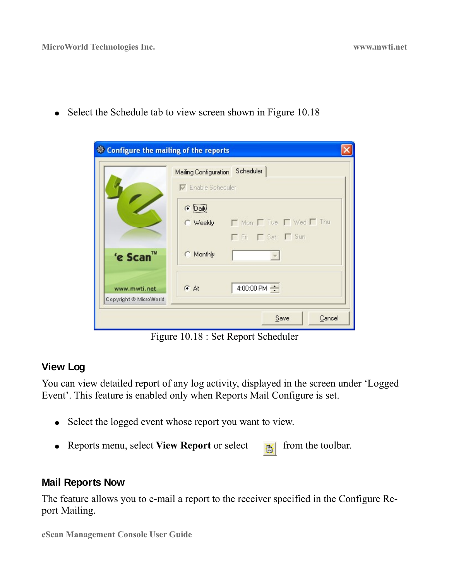|                        | Mailing Configuration     | Scheduler                        |
|------------------------|---------------------------|----------------------------------|
|                        | $\nabla$ Enable Scheduler |                                  |
|                        | C Daily                   |                                  |
|                        |                           | C Weekly   Mon   Tue   Wed   Thu |
|                        |                           | F Fri F Sat F Sun                |
| 'e Scan™               | Monthly                   |                                  |
| www.mwti.net           | G At                      | 4:00:00 PM $\div$                |
| Copyright @ MicroWorld |                           |                                  |

• Select the Schedule tab to view screen shown in Figure 10.18

Figure 10.18 : Set Report Scheduler

### <span id="page-45-1"></span>**View Log**

You can view detailed report of any log activity, displayed in the screen under 'Logged Event'. This feature is enabled only when Reports Mail Configure is set.

- Select the logged event whose report you want to view.
- Reports menu, select View Report or select **FR** from the toolbar.

### <span id="page-45-0"></span>**Mail Reports Now**

The feature allows you to e-mail a report to the receiver specified in the Configure Report Mailing.

**eScan Management Console User Guide**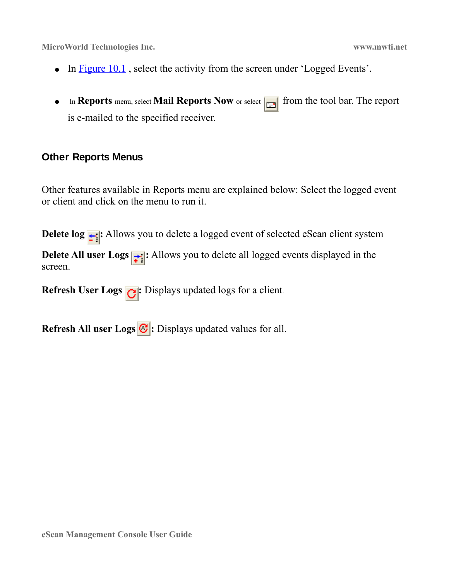- In Figure 10.1, select the activity from the screen under 'Logged Events'.
- **•** In **Reports** menu, select **Mail Reports Now** or select  $\boxed{\Box}$  from the tool bar. The report is e-mailed to the specified receiver.

### <span id="page-46-0"></span>**Other Reports Menus**

Other features available in Reports menu are explained below: Select the logged event or client and click on the menu to run it.

**Delete log**  $\frac{1}{\cdot}$  Allows you to delete a logged event of selected eScan client system

**Delete All user Logs**  $\left| \div \right|$ **:** Allows you to delete all logged events displayed in the screen.

**Refresh User Logs :** Displays updated logs for a client.

**Refresh All user Logs :** Displays updated values for all.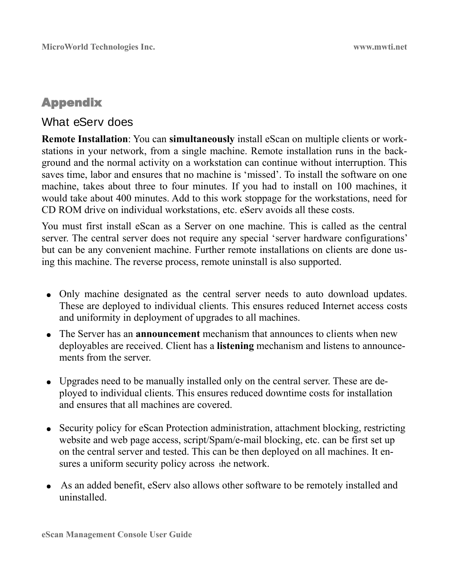# <span id="page-47-0"></span>Appendix

# What eServ does

**Remote Installation**: You can **simultaneously** install eScan on multiple clients or workstations in your network, from a single machine. Remote installation runs in the background and the normal activity on a workstation can continue without interruption. This saves time, labor and ensures that no machine is 'missed'. To install the software on one machine, takes about three to four minutes. If you had to install on 100 machines, it would take about 400 minutes. Add to this work stoppage for the workstations, need for CD ROM drive on individual workstations, etc. eServ avoids all these costs.

You must first install eScan as a Server on one machine. This is called as the central server. The central server does not require any special 'server hardware configurations' but can be any convenient machine. Further remote installations on clients are done using this machine. The reverse process, remote uninstall is also supported.

- Only machine designated as the central server needs to auto download updates. These are deployed to individual clients. This ensures reduced Internet access costs and uniformity in deployment of upgrades to all machines.
- The Server has an **announcement** mechanism that announces to clients when new deployables are received. Client has a **listening** mechanism and listens to announcements from the server.
- Upgrades need to be manually installed only on the central server. These are deployed to individual clients. This ensures reduced downtime costs for installation and ensures that all machines are covered.
- Security policy for eScan Protection administration, attachment blocking, restricting website and web page access, script/Spam/e-mail blocking, etc. can be first set up on the central server and tested. This can be then deployed on all machines. It ensures a uniform security policy across the network.
- As an added benefit, eServ also allows other software to be remotely installed and uninstalled.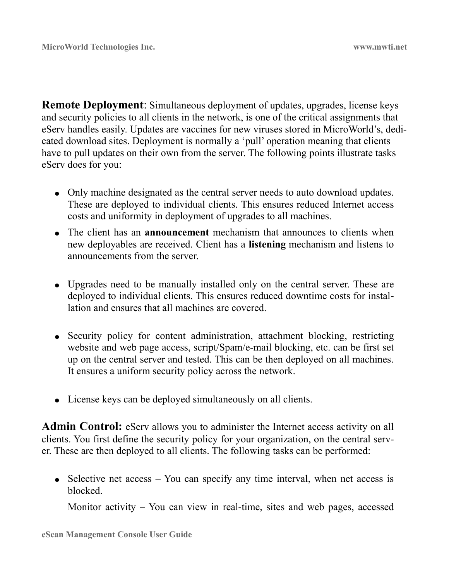**Remote Deployment**: Simultaneous deployment of updates, upgrades, license keys and security policies to all clients in the network, is one of the critical assignments that eServ handles easily. Updates are vaccines for new viruses stored in MicroWorld's, dedicated download sites. Deployment is normally a 'pull' operation meaning that clients have to pull updates on their own from the server. The following points illustrate tasks eServ does for you:

- Only machine designated as the central server needs to auto download updates. These are deployed to individual clients. This ensures reduced Internet access costs and uniformity in deployment of upgrades to all machines.
- The client has an **announcement** mechanism that announces to clients when new deployables are received. Client has a **listening** mechanism and listens to announcements from the server.
- Upgrades need to be manually installed only on the central server. These are deployed to individual clients. This ensures reduced downtime costs for installation and ensures that all machines are covered.
- Security policy for content administration, attachment blocking, restricting website and web page access, script/Spam/e-mail blocking, etc. can be first set up on the central server and tested. This can be then deployed on all machines. It ensures a uniform security policy across the network.
- License keys can be deployed simultaneously on all clients.

**Admin Control:** eServ allows you to administer the Internet access activity on all clients. You first define the security policy for your organization, on the central server. These are then deployed to all clients. The following tasks can be performed:

• Selective net access  $-$  You can specify any time interval, when net access is blocked.

Monitor activity – You can view in real-time, sites and web pages, accessed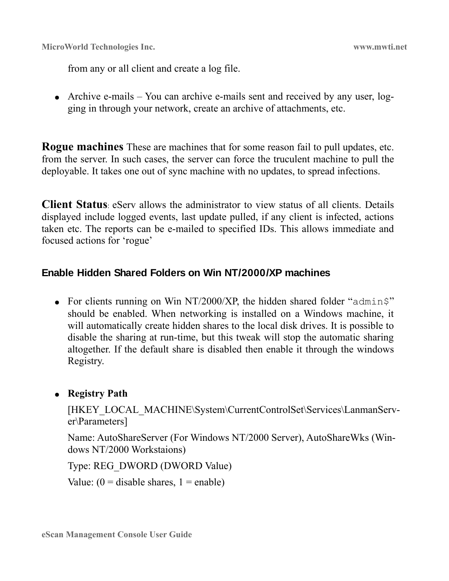from any or all client and create a log file.

• Archive e-mails – You can archive e-mails sent and received by any user, logging in through your network, create an archive of attachments, etc.

**Rogue machines** These are machines that for some reason fail to pull updates, etc. from the server. In such cases, the server can force the truculent machine to pull the deployable. It takes one out of sync machine with no updates, to spread infections.

**Client Status**: eServ allows the administrator to view status of all clients. Details displayed include logged events, last update pulled, if any client is infected, actions taken etc. The reports can be e-mailed to specified IDs. This allows immediate and focused actions for 'rogue'

### <span id="page-49-0"></span>**Enable Hidden Shared Folders on Win NT/2000/XP machines**

• For clients running on Win NT/2000/XP, the hidden shared folder " $\alpha$ dmin\$" should be enabled. When networking is installed on a Windows machine, it will automatically create hidden shares to the local disk drives. It is possible to disable the sharing at run-time, but this tweak will stop the automatic sharing altogether. If the default share is disabled then enable it through the windows Registry.

### ● **Registry Path**

[HKEY\_LOCAL\_MACHINE\System\CurrentControlSet\Services\LanmanServer\Parameters]

Name: AutoShareServer (For Windows NT/2000 Server), AutoShareWks (Windows NT/2000 Workstaions)

Type: REG\_DWORD (DWORD Value)

Value:  $(0 = \text{disable shares}, 1 = \text{enable})$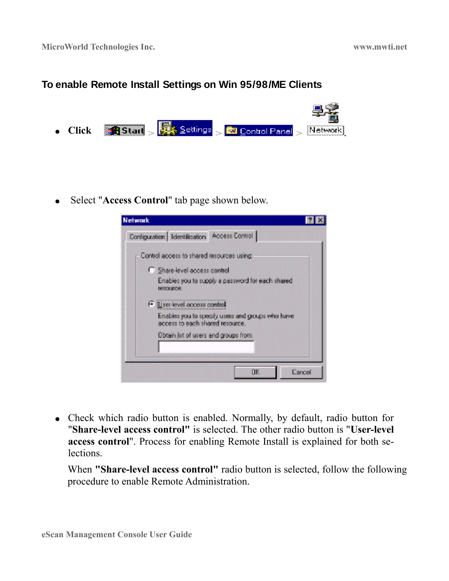### <span id="page-50-0"></span>**To enable Remote Install Settings on Win 95/98/ME Clients**



● Select "**Access Control**" tab page shown below.



• Check which radio button is enabled. Normally, by default, radio button for "**Share-level access control"** is selected. The other radio button is "**User-level access control**". Process for enabling Remote Install is explained for both selections.

When **"Share-level access control"** radio button is selected, follow the following procedure to enable Remote Administration.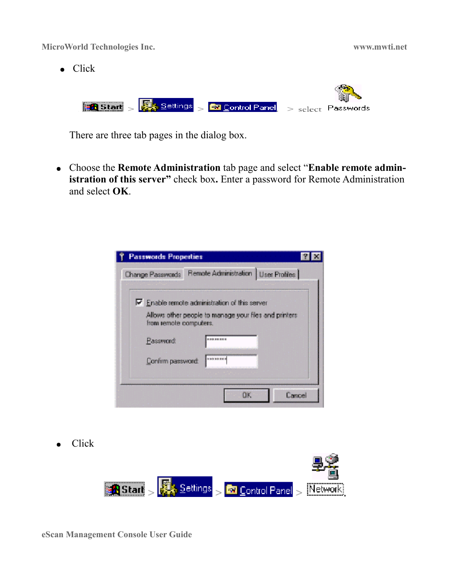● Click

**Allan** 

| <b>R Start</b> > $\frac{1}{2}$ Settings > <b>R</b> Control Panel > select Passwords |  |
|-------------------------------------------------------------------------------------|--|

There are three tab pages in the dialog box.

● Choose the **Remote Administration** tab page and select "**Enable remote administration of this server"** check box**.** Enter a password for Remote Administration and select **OK**.

| <b>Passwords Properties</b>                                                    |                                                        |
|--------------------------------------------------------------------------------|--------------------------------------------------------|
| Change Passwords                                                               | Remote Administration   User Profiles                  |
| $\nabla$ Enable remote administration of this server<br>from remote computers. | Allows other people to manage your files and printers. |
| Password                                                                       | 122211110                                              |
| Confirm password:                                                              | <b>NEWFERT</b>                                         |
|                                                                                | Cancel<br>ПK                                           |

● Click



**eScan Management Console User Guide**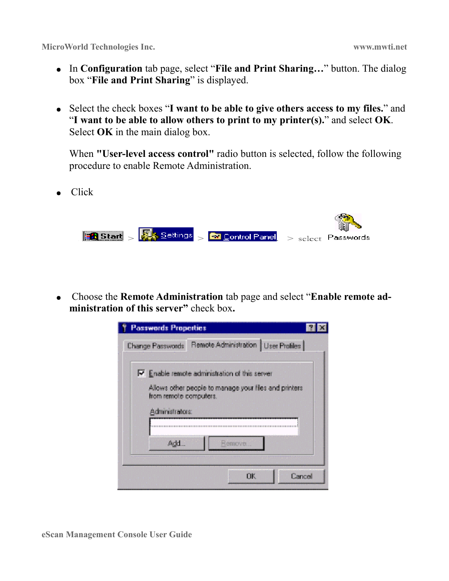- In **Configuration** tab page, select "**File and Print Sharing…**" button. The dialog box "**File and Print Sharing**" is displayed.
- Select the check boxes "**I want to be able to give others access to my files.**" and "**I want to be able to allow others to print to my printer(s).**" and select **OK**. Select **OK** in the main dialog box.

When **"User-level access control"** radio button is selected, follow the following procedure to enable Remote Administration.

● Click

|  | <b>Research Strait</b> Settings Settings Settings Secret Passwords |  |
|--|--------------------------------------------------------------------|--|

● Choose the **Remote Administration** tab page and select "**Enable remote administration of this server"** check box**.** 

| <b>Passwords Properties</b>               |                                                                                                               |        |
|-------------------------------------------|---------------------------------------------------------------------------------------------------------------|--------|
| <b>Change Passwords</b>                   | Remote Administration   User Profiles                                                                         |        |
| from remote computers.<br>Administrators: | $\nabla$ Enable remote administration of this server<br>Allows other people to manage your files and printers |        |
| Add                                       | Remove.                                                                                                       |        |
|                                           | ПK                                                                                                            | Cancel |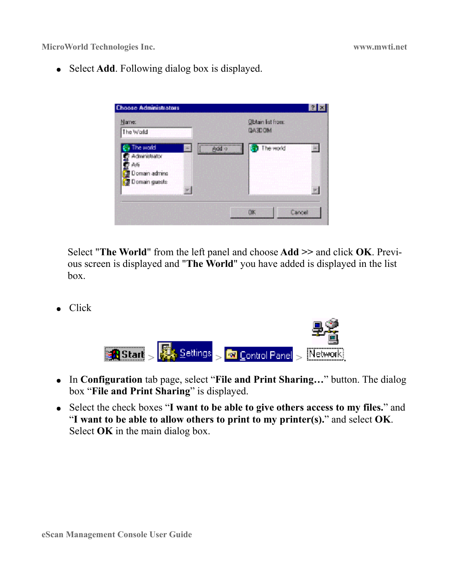● Select **Add**. Following dialog box is displayed.



Select "**The World**" from the left panel and choose **Add >>** and click **OK**. Previous screen is displayed and "**The World**" you have added is displayed in the list box.

● Click



- In **Configuration** tab page, select "**File and Print Sharing…**" button. The dialog box "**File and Print Sharing**" is displayed.
- Select the check boxes "**I want to be able to give others access to my files.**" and "**I want to be able to allow others to print to my printer(s).**" and select **OK**. Select **OK** in the main dialog box.